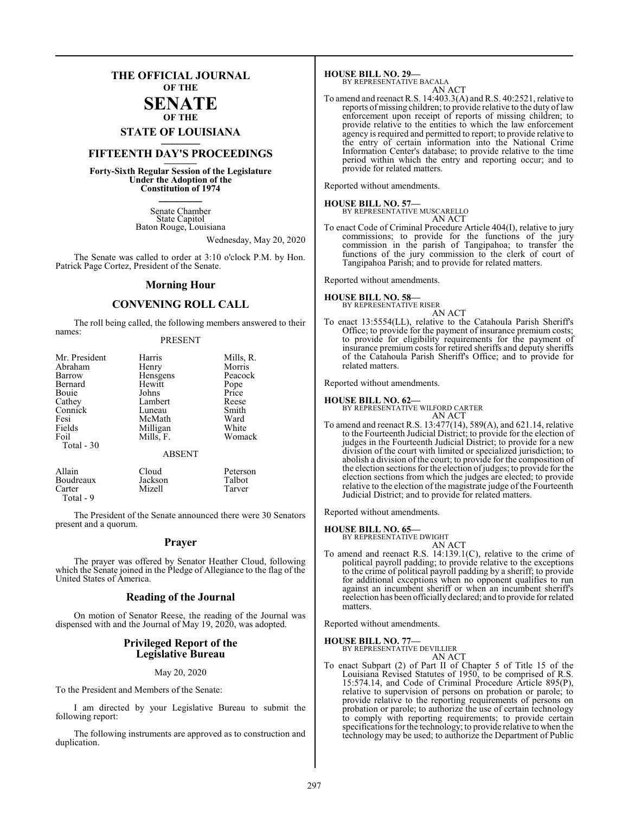### **THE OFFICIAL JOURNAL OF THE**

#### **SENATE OF THE**

# **STATE OF LOUISIANA \_\_\_\_\_\_\_**

### **FIFTEENTH DAY'S PROCEEDINGS \_\_\_\_\_\_\_**

**Forty-Sixth Regular Session of the Legislature Under the Adoption of the Constitution of 1974 \_\_\_\_\_\_\_**

> Senate Chamber State Capitol Baton Rouge, Louisiana

> > Wednesday, May 20, 2020

The Senate was called to order at 3:10 o'clock P.M. by Hon. Patrick Page Cortez, President of the Senate.

#### **Morning Hour**

### **CONVENING ROLL CALL**

The roll being called, the following members answered to their names:

#### PRESENT

| Mr. President             | Harris        | Mills, R.  |
|---------------------------|---------------|------------|
| Abraham                   | Henry         | Morris     |
| Barrow                    | Hensgens      | Peacock    |
| Bernard                   | Hewitt        | Pope       |
| Bouie                     | Johns         | Price      |
| Cathey                    | Lambert       | Reese      |
| Connick                   | Luneau        | Smith      |
| Fesi                      | McMath        | Ward       |
| Fields                    | Milligan      | White      |
| Foil                      | Mills, F.     | Womack     |
| Total - 30                |               |            |
|                           | <b>ABSENT</b> |            |
| Allain                    | Cloud         | Peterson   |
| $\mathbf{p}_{\text{out}}$ | Inclean       | $T_0$ lhot |

Boudreaux Jackson Talbot<br>Carter Mizell Tarver Carter Mizell Tarver Total - 9

The President of the Senate announced there were 30 Senators present and a quorum.

#### **Prayer**

The prayer was offered by Senator Heather Cloud, following which the Senate joined in the Pledge of Allegiance to the flag of the United States of America.

#### **Reading of the Journal**

On motion of Senator Reese, the reading of the Journal was dispensed with and the Journal of May 19, 2020, was adopted.

#### **Privileged Report of the Legislative Bureau**

#### May 20, 2020

To the President and Members of the Senate:

I am directed by your Legislative Bureau to submit the following report:

The following instruments are approved as to construction and duplication.

**HOUSE BILL NO. 29—** BY REPRESENTATIVE BACALA

AN ACT

To amend and reenact R.S. 14:403.3(A) and R.S. 40:2521, relative to reports of missing children; to provide relative to the duty of law enforcement upon receipt of reports of missing children; to provide relative to the entities to which the law enforcement agency is required and permitted to report; to provide relative to the entry of certain information into the National Crime Information Center's database; to provide relative to the time period within which the entry and reporting occur; and to provide for related matters.

Reported without amendments.

#### **HOUSE BILL NO. 57—**

BY REPRESENTATIVE MUSCARELLO AN ACT

To enact Code of Criminal Procedure Article 404(I), relative to jury commissions; to provide for the functions of the jury commission in the parish of Tangipahoa; to transfer the functions of the jury commission to the clerk of court of Tangipahoa Parish; and to provide for related matters.

Reported without amendments.

### **HOUSE BILL NO. 58—** BY REPRESENTATIVE RISER

AN ACT

To enact 13:5554(LL), relative to the Catahoula Parish Sheriff's Office; to provide for the payment of insurance premium costs; to provide for eligibility requirements for the payment of insurance premium costs for retired sheriffs and deputy sheriffs of the Catahoula Parish Sheriff's Office; and to provide for related matters.

Reported without amendments.

**HOUSE BILL NO. 62—** BY REPRESENTATIVE WILFORD CARTER AN ACT

To amend and reenact R.S. 13:477(14), 589(A), and 621.14, relative to the Fourteenth Judicial District; to provide for the election of judges in the Fourteenth Judicial District; to provide for a new division of the court with limited or specialized jurisdiction; to abolish a division of the court; to provide for the composition of the election sections for the election of judges; to provide for the election sections from which the judges are elected; to provide relative to the election of the magistrate judge of the Fourteenth Judicial District; and to provide for related matters.

Reported without amendments.

### **HOUSE BILL NO. 65—** BY REPRESENTATIVE DWIGHT

AN ACT

To amend and reenact R.S. 14:139.1(C), relative to the crime of political payroll padding; to provide relative to the exceptions to the crime of political payroll padding by a sheriff; to provide for additional exceptions when no opponent qualifies to run against an incumbent sheriff or when an incumbent sheriff's reelection has been officiallydeclared; and to provide for related matters.

Reported without amendments.

#### **HOUSE BILL NO. 77—**

BY REPRESENTATIVE DEVILLIER AN ACT

To enact Subpart (2) of Part II of Chapter 5 of Title 15 of the Louisiana Revised Statutes of 1950, to be comprised of R.S. 15:574.14, and Code of Criminal Procedure Article 895(P), relative to supervision of persons on probation or parole; to provide relative to the reporting requirements of persons on probation or parole; to authorize the use of certain technology to comply with reporting requirements; to provide certain specifications forthe technology; to provide relative to when the technology may be used; to authorize the Department of Public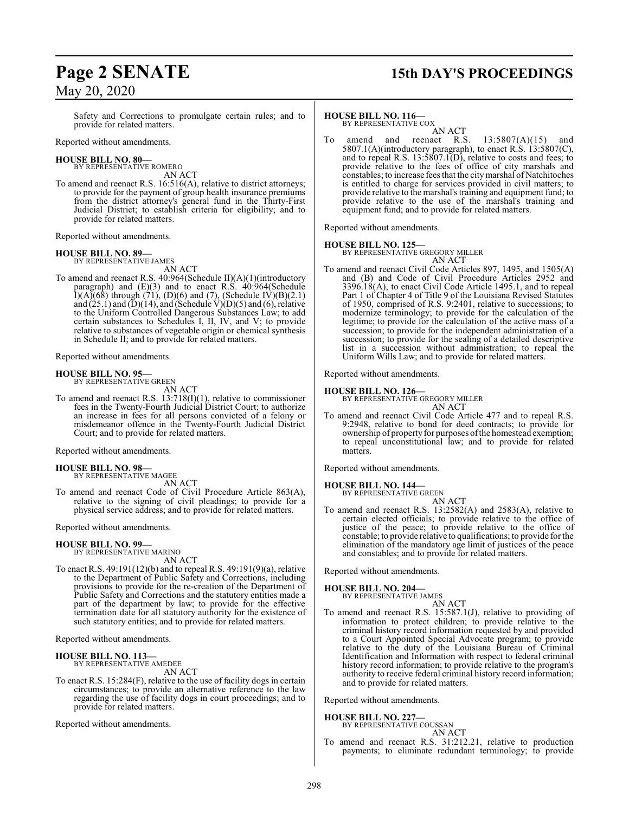# **Page 2 SENATE 15th DAY'S PROCEEDINGS**

Safety and Corrections to promulgate certain rules; and to provide for related matters.

Reported without amendments.

#### **HOUSE BILL NO. 80—** BY REPRESENTATIVE ROMERO

AN ACT

To amend and reenact R.S. 16:516(A), relative to district attorneys; to provide for the payment of group health insurance premiums from the district attorney's general fund in the Thirty-First Judicial District; to establish criteria for eligibility; and to provide for related matters.

Reported without amendments.

#### **HOUSE BILL NO. 89—**

BY REPRESENTATIVE JAMES AN ACT

To amend and reenact R.S. 40:964(Schedule II)(A)(1)(introductory paragraph) and (E)(3) and to enact R.S. 40:964(Schedule  $I(A)(68)$  through (71), (D)(6) and (7), (Schedule IV)(B)(2.1) and  $(25.1)$  and  $(D)(14)$ , and (Schedule V) $(D)(5)$  and  $(6)$ , relative to the Uniform Controlled Dangerous Substances Law; to add certain substances to Schedules I, II, IV, and V; to provide relative to substances of vegetable origin or chemical synthesis in Schedule II; and to provide for related matters.

Reported without amendments.

#### **HOUSE BILL NO. 95—**

BY REPRESENTATIVE GREEN

AN ACT To amend and reenact R.S. 13:718(I)(1), relative to commissioner fees in the Twenty-Fourth Judicial District Court; to authorize an increase in fees for all persons convicted of a felony or misdemeanor offence in the Twenty-Fourth Judicial District Court; and to provide for related matters.

Reported without amendments.

**HOUSE BILL NO. 98—** BY REPRESENTATIVE MAGEE

AN ACT To amend and reenact Code of Civil Procedure Article 863(A), relative to the signing of civil pleadings; to provide for a physical service address; and to provide for related matters.

Reported without amendments.

#### **HOUSE BILL NO. 99—**

BY REPRESENTATIVE MARINO AN ACT

To enact R.S. 49:191(12)(b) and to repeal R.S. 49:191(9)(a), relative to the Department of Public Safety and Corrections, including provisions to provide for the re-creation of the Department of Public Safety and Corrections and the statutory entities made a part of the department by law; to provide for the effective termination date for all statutory authority for the existence of such statutory entities; and to provide for related matters.

Reported without amendments.

### **HOUSE BILL NO. 113—**

BY REPRESENTATIVE AMEDEE AN ACT

To enact R.S. 15:284(F), relative to the use of facility dogs in certain circumstances; to provide an alternative reference to the law regarding the use of facility dogs in court proceedings; and to provide for related matters.

Reported without amendments.

#### **HOUSE BILL NO. 116—**

BY REPRESENTATIVE COX

AN ACT<br>reenact R.S. To amend and reenact R.S.  $13:5807(A)(15)$  and 5807.1(A)(introductory paragraph), to enact R.S.  $13:5807(C)$ , and to repeal R.S.  $13:5807.1(D)$ , relative to costs and fees; to provide relative to the fees of office of city marshals and constables; to increase fees that the citymarshal of Natchitoches is entitled to charge for services provided in civil matters; to provide relative to the marshal's training and equipment fund; to provide relative to the use of the marshal's training and equipment fund; and to provide for related matters.

Reported without amendments.

**HOUSE BILL NO. 125—** BY REPRESENTATIVE GREGORY MILLER AN ACT

To amend and reenact Civil Code Articles 897, 1495, and 1505(A) and (B) and Code of Civil Procedure Articles 2952 and 3396.18(A), to enact Civil Code Article 1495.1, and to repeal Part 1 of Chapter 4 of Title 9 of the Louisiana Revised Statutes of 1950, comprised of R.S. 9:2401, relative to successions; to modernize terminology; to provide for the calculation of the legitime; to provide for the calculation of the active mass of a succession; to provide for the independent administration of a succession; to provide for the sealing of a detailed descriptive list in a succession without administration; to repeal the Uniform Wills Law; and to provide for related matters.

Reported without amendments.

#### **HOUSE BILL NO. 126—**

BY REPRESENTATIVE GREGORY MILLER AN ACT

To amend and reenact Civil Code Article 477 and to repeal R.S. 9:2948, relative to bond for deed contracts; to provide for ownership of property for purposes of the homestead exemption; to repeal unconstitutional law; and to provide for related matters.

Reported without amendments.

### **HOUSE BILL NO. 144—** BY REPRESENTATIVE GREEN

AN ACT

To amend and reenact R.S. 13:2582(A) and 2583(A), relative to certain elected officials; to provide relative to the office of justice of the peace; to provide relative to the office of constable; to provide relative to qualifications; to provide for the elimination of the mandatory age limit of justices of the peace and constables; and to provide for related matters.

Reported without amendments.

#### **HOUSE BILL NO. 204—**

BY REPRESENTATIVE JAMES AN ACT

To amend and reenact R.S. 15:587.1(J), relative to providing of information to protect children; to provide relative to the criminal history record information requested by and provided to a Court Appointed Special Advocate program; to provide relative to the duty of the Louisiana Bureau of Criminal Identification and Information with respect to federal criminal history record information; to provide relative to the program's authority to receive federal criminal history record information; and to provide for related matters.

Reported without amendments.

#### **HOUSE BILL NO. 227—**

BY REPRESENTATIVE COUSSAN AN ACT

To amend and reenact R.S. 31:212.21, relative to production payments; to eliminate redundant terminology; to provide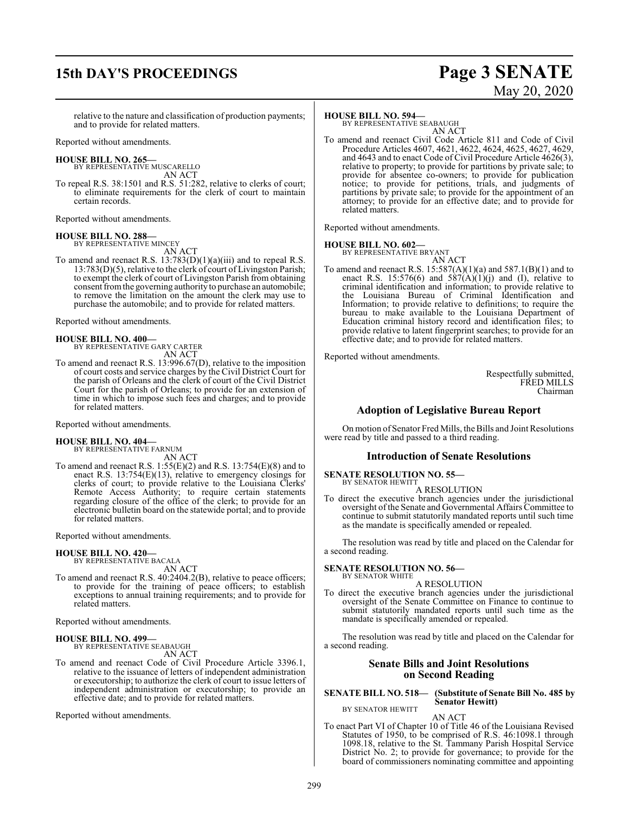## **15th DAY'S PROCEEDINGS Page 3 SENATE**

# May 20, 2020

relative to the nature and classification of production payments; and to provide for related matters.

Reported without amendments.

#### **HOUSE BILL NO. 265—**

BY REPRESENTATIVE MUSCARELLO AN ACT

To repeal R.S. 38:1501 and R.S. 51:282, relative to clerks of court; to eliminate requirements for the clerk of court to maintain certain records.

Reported without amendments.

### **HOUSE BILL NO. 288—**

BY REPRESENTATIVE MINCEY AN ACT

To amend and reenact R.S. 13:783(D)(1)(a)(iii) and to repeal R.S. 13:783(D)(5), relative to the clerk of court of Livingston Parish; to exempt the clerk of court of Livingston Parish from obtaining consent fromthe governing authority to purchase an automobile; to remove the limitation on the amount the clerk may use to purchase the automobile; and to provide for related matters.

Reported without amendments.

### **HOUSE BILL NO. 400—**

BY REPRESENTATIVE GARY CARTER AN ACT

To amend and reenact R.S. 13:996.67(D), relative to the imposition of court costs and service charges by the Civil District Court for the parish of Orleans and the clerk of court of the Civil District Court for the parish of Orleans; to provide for an extension of time in which to impose such fees and charges; and to provide for related matters.

Reported without amendments.

#### **HOUSE BILL NO. 404—**

BY REPRESENTATIVE FARNUM AN ACT

To amend and reenact R.S.  $1:55(E)(2)$  and R.S.  $13:754(E)(8)$  and to enact R.S.  $13:754(E)(13)$ , relative to emergency closings for clerks of court; to provide relative to the Louisiana Clerks' Remote Access Authority; to require certain statements regarding closure of the office of the clerk; to provide for an electronic bulletin board on the statewide portal; and to provide for related matters.

Reported without amendments.

### **HOUSE BILL NO. 420—**

BY REPRESENTATIVE BACALA AN ACT

To amend and reenact R.S. 40:2404.2(B), relative to peace officers; to provide for the training of peace officers; to establish exceptions to annual training requirements; and to provide for related matters.

Reported without amendments.

#### **HOUSE BILL NO. 499—** BY REPRESENTATIVE SEABAUGH

AN ACT

To amend and reenact Code of Civil Procedure Article 3396.1, relative to the issuance of letters of independent administration or executorship; to authorize the clerk of court to issue letters of independent administration or executorship; to provide an effective date; and to provide for related matters.

Reported without amendments.

#### **HOUSE BILL NO. 594—**

BY REPRESENTATIVE SEABAUGH AN ACT

To amend and reenact Civil Code Article 811 and Code of Civil Procedure Articles 4607, 4621, 4622, 4624, 4625, 4627, 4629, and 4643 and to enact Code of Civil Procedure Article 4626(3), relative to property; to provide for partitions by private sale; to provide for absentee co-owners; to provide for publication notice; to provide for petitions, trials, and judgments of partitions by private sale; to provide for the appointment of an attorney; to provide for an effective date; and to provide for related matters.

Reported without amendments.

# **HOUSE BILL NO. 602—** BY REPRESENTATIVE BRYANT

AN ACT To amend and reenact R.S.  $15:587(A)(1)(a)$  and  $587.1(B)(1)$  and to enact R.S. 15:576(6) and  $5\overline{87(A)(1)(j)}$  and (I), relative to criminal identification and information; to provide relative to the Louisiana Bureau of Criminal Identification and Information; to provide relative to definitions; to require the bureau to make available to the Louisiana Department of Education criminal history record and identification files; to provide relative to latent fingerprint searches; to provide for an effective date; and to provide for related matters.

Reported without amendments.

Respectfully submitted, FRED MILLS Chairman

### **Adoption of Legislative Bureau Report**

On motion of Senator Fred Mills, the Bills and Joint Resolutions were read by title and passed to a third reading.

#### **Introduction of Senate Resolutions**

**SENATE RESOLUTION NO. 55—**

BY SENATOR HEWITT A RESOLUTION

To direct the executive branch agencies under the jurisdictional oversight of the Senate and Governmental Affairs Committee to continue to submit statutorily mandated reports until such time as the mandate is specifically amended or repealed.

The resolution was read by title and placed on the Calendar for a second reading.

#### **SENATE RESOLUTION NO. 56—** BY SENATOR WHITE

A RESOLUTION

To direct the executive branch agencies under the jurisdictional oversight of the Senate Committee on Finance to continue to submit statutorily mandated reports until such time as the mandate is specifically amended or repealed.

The resolution was read by title and placed on the Calendar for a second reading.

#### **Senate Bills and Joint Resolutions on Second Reading**

#### **SENATE BILL NO. 518— (Substitute of Senate Bill No. 485 by Senator Hewitt)** BY SENATOR HEWITT

AN ACT

To enact Part VI of Chapter 10 of Title 46 of the Louisiana Revised Statutes of 1950, to be comprised of R.S. 46:1098.1 through 1098.18, relative to the St. Tammany Parish Hospital Service District No. 2; to provide for governance; to provide for the board of commissioners nominating committee and appointing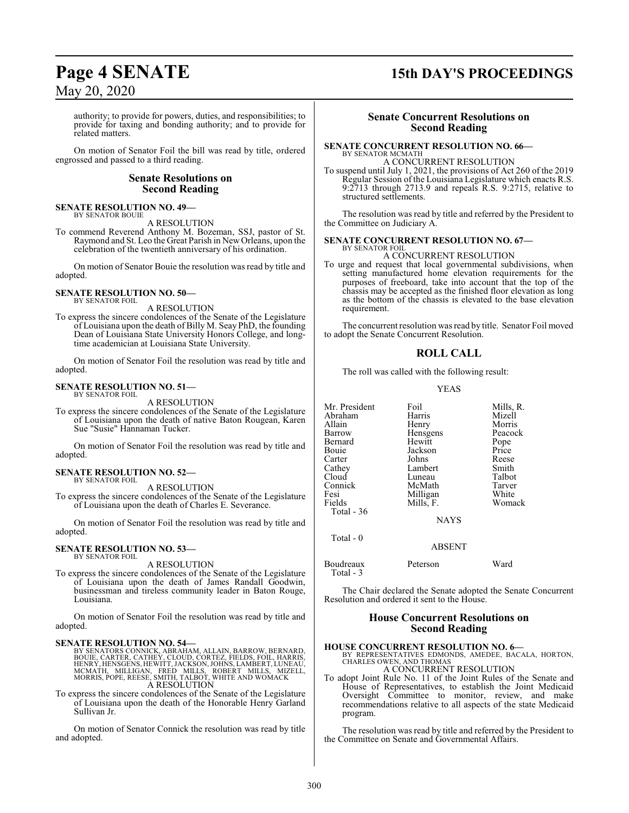## **Page 4 SENATE 15th DAY'S PROCEEDINGS**

### May 20, 2020

authority; to provide for powers, duties, and responsibilities; to provide for taxing and bonding authority; and to provide for related matters.

On motion of Senator Foil the bill was read by title, ordered engrossed and passed to a third reading.

#### **Senate Resolutions on Second Reading**

#### **SENATE RESOLUTION NO. 49—** BY SENATOR BOUIE

A RESOLUTION

To commend Reverend Anthony M. Bozeman, SSJ, pastor of St. Raymond and St. Leo the Great Parish in New Orleans, upon the celebration of the twentieth anniversary of his ordination.

On motion of Senator Bouie the resolution was read by title and adopted.

#### **SENATE RESOLUTION NO. 50—** BY SENATOR FOIL

A RESOLUTION

To express the sincere condolences of the Senate of the Legislature of Louisiana upon the death of Billy M. Seay PhD, the founding Dean of Louisiana State University Honors College, and longtime academician at Louisiana State University.

On motion of Senator Foil the resolution was read by title and adopted.

#### **SENATE RESOLUTION NO. 51—** BY SENATOR FOIL

A RESOLUTION

To express the sincere condolences of the Senate of the Legislature of Louisiana upon the death of native Baton Rougean, Karen Sue "Susie" Hannaman Tucker.

On motion of Senator Foil the resolution was read by title and adopted.

#### **SENATE RESOLUTION NO. 52—** BY SENATOR FOIL

A RESOLUTION

To express the sincere condolences of the Senate of the Legislature of Louisiana upon the death of Charles E. Severance.

On motion of Senator Foil the resolution was read by title and adopted.

#### **SENATE RESOLUTION NO. 53—** BY SENATOR FOIL

A RESOLUTION

To express the sincere condolences of the Senate of the Legislature of Louisiana upon the death of James Randall Goodwin, businessman and tireless community leader in Baton Rouge, Louisiana.

On motion of Senator Foil the resolution was read by title and adopted.

- SENATE RESOLUTION NO. 54—<br>BY SENATORS CONNICK, ABRAHAM, ALLAIN, BARROW, BERNARD,<br>BOUIE, CARTER, CATHEY, CLOUD, CORTEZ, FIELDS, FOIL, HARRIS,<br>HENRY, HENSGENS, HEWITT, JACKSON, JOHNS, LAMBERT, LUNEAU,<br>MORRIS, POPE, REESE, SM A RESOLUTION
- To express the sincere condolences of the Senate of the Legislature of Louisiana upon the death of the Honorable Henry Garland Sullivan Jr.

On motion of Senator Connick the resolution was read by title and adopted.

#### **Senate Concurrent Resolutions on Second Reading**

#### **SENATE CONCURRENT RESOLUTION NO. 66—** BY SENATOR MCMATH

A CONCURRENT RESOLUTION To suspend until July 1, 2021, the provisions of Act 260 of the 2019 Regular Session of the Louisiana Legislature which enacts R.S. 9:2713 through 2713.9 and repeals R.S. 9:2715, relative to structured settlements.

The resolution was read by title and referred by the President to the Committee on Judiciary A.

#### **SENATE CONCURRENT RESOLUTION NO. 67—** BY SENATOR FOIL

### A CONCURRENT RESOLUTION

To urge and request that local governmental subdivisions, when setting manufactured home elevation requirements for the purposes of freeboard, take into account that the top of the chassis may be accepted as the finished floor elevation as long as the bottom of the chassis is elevated to the base elevation requirement.

The concurrent resolution was read by title. Senator Foil moved to adopt the Senate Concurrent Resolution.

### **ROLL CALL**

The roll was called with the following result:

#### YEAS

| Mr. President<br>Abraham<br>Allain<br>Barrow<br>Bernard<br>Bouie<br>Carter<br>Cathey<br>Cloud<br>Connick<br>Fesi<br>Fields<br>Total - 36<br>Total - 0 | Foil<br>Harris<br>Henry<br>Hensgens<br>Hewitt<br>Jackson<br>Johns<br>Lambert<br>Luneau<br>McMath<br>Milligan<br>Mills, F.<br><b>NAYS</b> | Mills, R.<br>Mizell<br>Morris<br>Peacock<br>Pope<br>Price<br>Reese<br>Smith<br>Talbot<br>Tarver<br>White<br>Womack |
|-------------------------------------------------------------------------------------------------------------------------------------------------------|------------------------------------------------------------------------------------------------------------------------------------------|--------------------------------------------------------------------------------------------------------------------|
|                                                                                                                                                       | <b>ABSENT</b>                                                                                                                            |                                                                                                                    |
| Boudreaux                                                                                                                                             | Peterson                                                                                                                                 | Ward                                                                                                               |

Total - 3

The Chair declared the Senate adopted the Senate Concurrent Resolution and ordered it sent to the House.

#### **House Concurrent Resolutions on Second Reading**

#### **HOUSE CONCURRENT RESOLUTION NO. 6—**

BY REPRESENTATIVES EDMONDS, AMEDEE, BACALA, HORTON, CHARLES OWEN, AND THOMAS A CONCURRENT RESOLUTION

To adopt Joint Rule No. 11 of the Joint Rules of the Senate and House of Representatives, to establish the Joint Medicaid Oversight Committee to monitor, review, and make recommendations relative to all aspects of the state Medicaid program.

The resolution was read by title and referred by the President to the Committee on Senate and Governmental Affairs.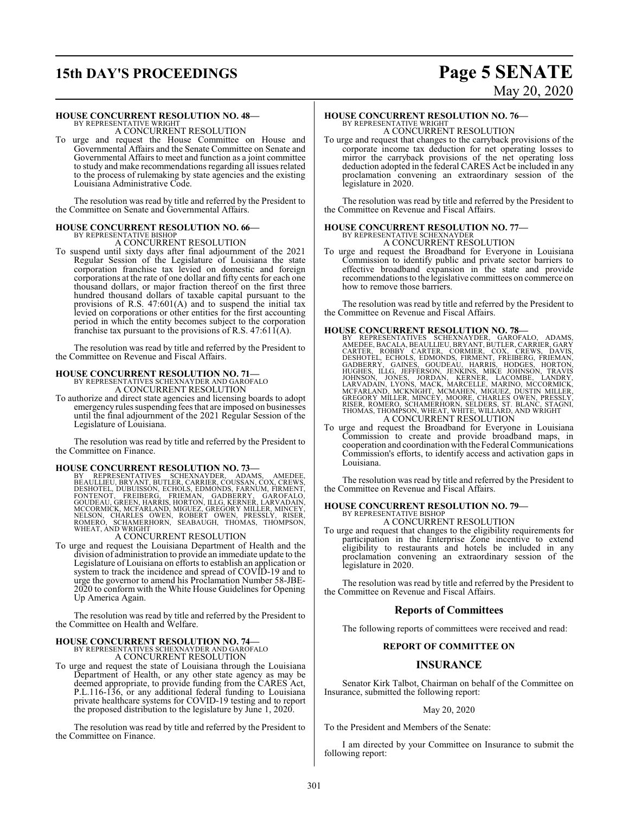# **15th DAY'S PROCEEDINGS Page 5 SENATE**

# May 20, 2020

#### **HOUSE CONCURRENT RESOLUTION NO. 48—**

BY REPRESENTATIVE WRIGHT A CONCURRENT RESOLUTION

To urge and request the House Committee on House and Governmental Affairs and the Senate Committee on Senate and Governmental Affairs to meet and function as a joint committee to study and make recommendations regarding all issues related to the process of rulemaking by state agencies and the existing Louisiana Administrative Code.

The resolution was read by title and referred by the President to the Committee on Senate and Governmental Affairs.

#### **HOUSE CONCURRENT RESOLUTION NO. 66—** BY REPRESENTATIVE BISHOP

A CONCURRENT RESOLUTION

To suspend until sixty days after final adjournment of the 2021 Regular Session of the Legislature of Louisiana the state corporation franchise tax levied on domestic and foreign corporations at the rate of one dollar and fifty cents for each one thousand dollars, or major fraction thereof on the first three hundred thousand dollars of taxable capital pursuant to the provisions of R.S. 47:601(A) and to suspend the initial tax levied on corporations or other entities for the first accounting period in which the entity becomes subject to the corporation franchise tax pursuant to the provisions of R.S.  $47:61\hat{1}(A)$ .

The resolution was read by title and referred by the President to the Committee on Revenue and Fiscal Affairs.

# **HOUSE CONCURRENT RESOLUTION NO. 71—** BY REPRESENTATIVES SCHEXNAYDER AND GAROFALO

A CONCURRENT RESOLUTION To authorize and direct state agencies and licensing boards to adopt emergency rules suspending fees that are imposed on businesses until the final adjournment of the 2021 Regular Session of the Legislature of Louisiana.

The resolution was read by title and referred by the President to the Committee on Finance.

#### **HOUSE CONCURRENT RESOLUTION NO. 73—**

BY REPRESENTATIVES SCHEXNAYDER, ADAMS, AMEDEE,<br>BEAULLIEU,BRYANT,BUTLER,CARRIER,COUSSAN,COX,CREWS,<br>DESHOTEL,BRYANT,BUTLER,CARRIER,COUSSAN,COX,CREWS,<br>FONTENOT, FREIBERG, FRIEMAN, GADBERRY, GAROFALO,<br>GOUDEAU,GREEN,HARRIS,HORT

#### A CONCURRENT RESOLUTION

To urge and request the Louisiana Department of Health and the division of administration to provide an immediate update to the Legislature of Louisiana on efforts to establish an application or system to track the incidence and spread of COVID-19 and to urge the governor to amend his Proclamation Number 58-JBE-2020 to conform with the White House Guidelines for Opening Up America Again.

The resolution was read by title and referred by the President to the Committee on Health and Welfare.

### **HOUSE CONCURRENT RESOLUTION NO. 74—** BY REPRESENTATIVES SCHEXNAYDER AND GAROFALO A CONCURRENT RESOLUTION

To urge and request the state of Louisiana through the Louisiana Department of Health, or any other state agency as may be deemed appropriate, to provide funding from the CARES Act, P.L.116-136, or any additional federal funding to Louisiana private healthcare systems for COVID-19 testing and to report the proposed distribution to the legislature by June 1, 2020.

The resolution was read by title and referred by the President to the Committee on Finance.

### **HOUSE CONCURRENT RESOLUTION NO. 76—** BY REPRESENTATIVE WRIGHT A CONCURRENT RESOLUTION

To urge and request that changes to the carryback provisions of the corporate income tax deduction for net operating losses to mirror the carryback provisions of the net operating loss deduction adopted in the federal CARES Act be included in any proclamation convening an extraordinary session of the legislature in 2020.

The resolution was read by title and referred by the President to the Committee on Revenue and Fiscal Affairs.

# **HOUSE CONCURRENT RESOLUTION NO. 77—**

BY REPRESENTATIVE SCHEXNAYDER A CONCURRENT RESOLUTION

To urge and request the Broadband for Everyone in Louisiana Commission to identify public and private sector barriers to effective broadband expansion in the state and provide recommendations to the legislative committees on commerce on how to remove those barriers.

The resolution was read by title and referred by the President to the Committee on Revenue and Fiscal Affairs.

- **HOUSE CONCURRENT RESOLUTION NO. 78**<br>BY REPRESENTATIVES SCHEXNAYDER, GAROFALO, ADAMS, AMEDEE, BACALA, BEAULIEU, BRYANT, BUTLER, CARRIER, GARY<br>CARTER, ROBBY CARTER, CORMIER, COX, CREWS, DAVIS, DESHOTEL, ECHOLS, EDMONDS, FIR
- To urge and request the Broadband for Everyone in Louisiana Commission to create and provide broadband maps, in cooperation and coordination with the Federal Communications Commission's efforts, to identify access and activation gaps in Louisiana.

The resolution was read by title and referred by the President to the Committee on Revenue and Fiscal Affairs.

# **HOUSE CONCURRENT RESOLUTION NO. 79—**<br>BY REPRESENTATIVE BISHOP<br>A CONCURRENT RESOLUTION

To urge and request that changes to the eligibility requirements for participation in the Enterprise Zone incentive to extend eligibility to restaurants and hotels be included in any proclamation convening an extraordinary session of the legislature in 2020.

The resolution was read by title and referred by the President to the Committee on Revenue and Fiscal Affairs.

#### **Reports of Committees**

The following reports of committees were received and read:

#### **REPORT OF COMMITTEE ON**

#### **INSURANCE**

Senator Kirk Talbot, Chairman on behalf of the Committee on Insurance, submitted the following report:

#### May 20, 2020

To the President and Members of the Senate:

I am directed by your Committee on Insurance to submit the following report: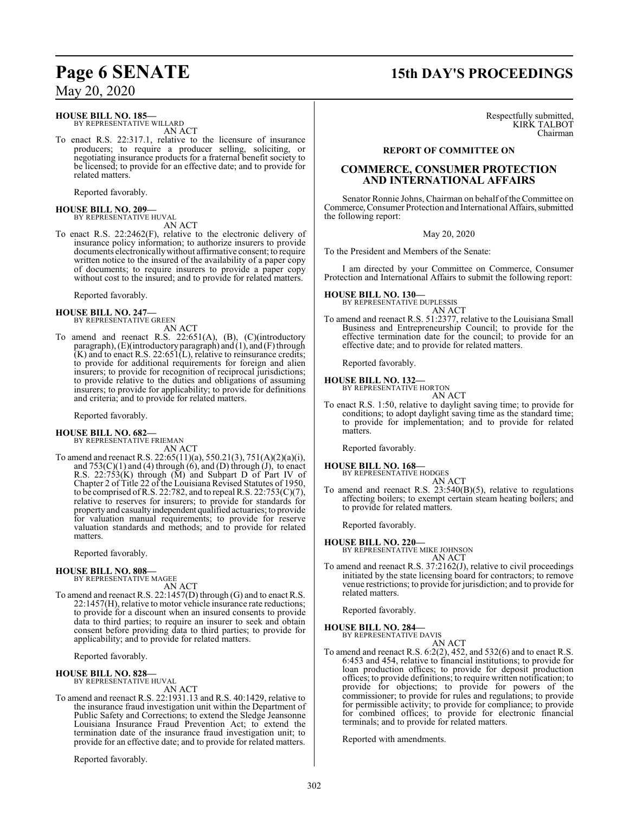#### **HOUSE BILL NO. 185—**

BY REPRESENTATIVE WILLARD AN ACT

To enact R.S. 22:317.1, relative to the licensure of insurance producers; to require a producer selling, soliciting, or negotiating insurance products for a fraternal benefit society to be licensed; to provide for an effective date; and to provide for related matters.

Reported favorably.

#### **HOUSE BILL NO. 209—** BY REPRESENTATIVE HUVAL

AN ACT

To enact R.S. 22:2462(F), relative to the electronic delivery of insurance policy information; to authorize insurers to provide documents electronicallywithout affirmative consent; to require written notice to the insured of the availability of a paper copy of documents; to require insurers to provide a paper copy without cost to the insured; and to provide for related matters.

Reported favorably.

# **HOUSE BILL NO. 247—** BY REPRESENTATIVE GREEN

AN ACT

To amend and reenact R.S. 22:651(A), (B), (C)(introductory paragraph), (E)(introductory paragraph) and (1), and (F) through  $(K)$  and to enact R.S. 22:651 $(L)$ , relative to reinsurance credits; to provide for additional requirements for foreign and alien insurers; to provide for recognition of reciprocal jurisdictions; to provide relative to the duties and obligations of assuming insurers; to provide for applicability; to provide for definitions and criteria; and to provide for related matters.

Reported favorably.

#### **HOUSE BILL NO. 682—** BY REPRESENTATIVE FRIEMAN

AN ACT

To amend and reenact R.S. 22:65(11)(a), 550.21(3), 751(A)(2)(a)(i), and  $753(C)(1)$  and (4) through (6), and (D) through (J), to enact R.S. 22:753(K) through (M) and Subpart D of Part IV of Chapter 2 of Title 22 of the Louisiana Revised Statutes of 1950, to be comprised of R.S. 22:782, and to repeal R.S. 22:753(C)(7), relative to reserves for insurers; to provide for standards for property and casualtyindependent qualified actuaries; to provide for valuation manual requirements; to provide for reserve valuation standards and methods; and to provide for related matters.

Reported favorably.

**HOUSE BILL NO. 808—** BY REPRESENTATIVE MAGEE

AN ACT

To amend and reenact R.S. 22:1457(D) through (G) and to enact R.S. 22:1457(H), relative to motor vehicle insurance rate reductions; to provide for a discount when an insured consents to provide data to third parties; to require an insurer to seek and obtain consent before providing data to third parties; to provide for applicability; and to provide for related matters.

Reported favorably.

#### **HOUSE BILL NO. 828—** BY REPRESENTATIVE HUVAL

AN ACT

To amend and reenact R.S. 22:1931.13 and R.S. 40:1429, relative to the insurance fraud investigation unit within the Department of Public Safety and Corrections; to extend the Sledge Jeansonne Louisiana Insurance Fraud Prevention Act; to extend the termination date of the insurance fraud investigation unit; to provide for an effective date; and to provide for related matters.

Reported favorably.

# **Page 6 SENATE 15th DAY'S PROCEEDINGS**

Respectfully submitted, KIRK TALBOT Chairman

#### **REPORT OF COMMITTEE ON**

### **COMMERCE, CONSUMER PROTECTION AND INTERNATIONAL AFFAIRS**

Senator Ronnie Johns, Chairman on behalf of the Committee on Commerce, Consumer Protection and International Affairs, submitted the following report:

May 20, 2020

To the President and Members of the Senate:

I am directed by your Committee on Commerce, Consumer Protection and International Affairs to submit the following report:

**HOUSE BILL NO. 130—** BY REPRESENTATIVE DUPLESSIS

AN ACT

To amend and reenact R.S. 51:2377, relative to the Louisiana Small Business and Entrepreneurship Council; to provide for the effective termination date for the council; to provide for an effective date; and to provide for related matters.

Reported favorably.

# **HOUSE BILL NO. 132—** BY REPRESENTATIVE HORTON

AN ACT

To enact R.S. 1:50, relative to daylight saving time; to provide for conditions; to adopt daylight saving time as the standard time; to provide for implementation; and to provide for related matters.

Reported favorably.

**HOUSE BILL NO. 168—** BY REPRESENTATIVE HODGES

AN ACT To amend and reenact R.S. 23:540(B)(5), relative to regulations affecting boilers; to exempt certain steam heating boilers; and to provide for related matters.

Reported favorably.

#### **HOUSE BILL NO. 220—**

BY REPRESENTATIVE MIKE JOHNSON AN ACT

To amend and reenact R.S. 37:2162(J), relative to civil proceedings initiated by the state licensing board for contractors; to remove venue restrictions; to provide for jurisdiction; and to provide for related matters.

Reported favorably.

**HOUSE BILL NO. 284—** BY REPRESENTATIVE DAVIS

AN ACT

To amend and reenact R.S. 6:2(2), 452, and 532(6) and to enact R.S. 6:453 and 454, relative to financial institutions; to provide for loan production offices; to provide for deposit production offices; to provide definitions; to require written notification; to provide for objections; to provide for powers of the commissioner; to provide for rules and regulations; to provide for permissible activity; to provide for compliance; to provide for combined offices; to provide for electronic financial terminals; and to provide for related matters.

Reported with amendments.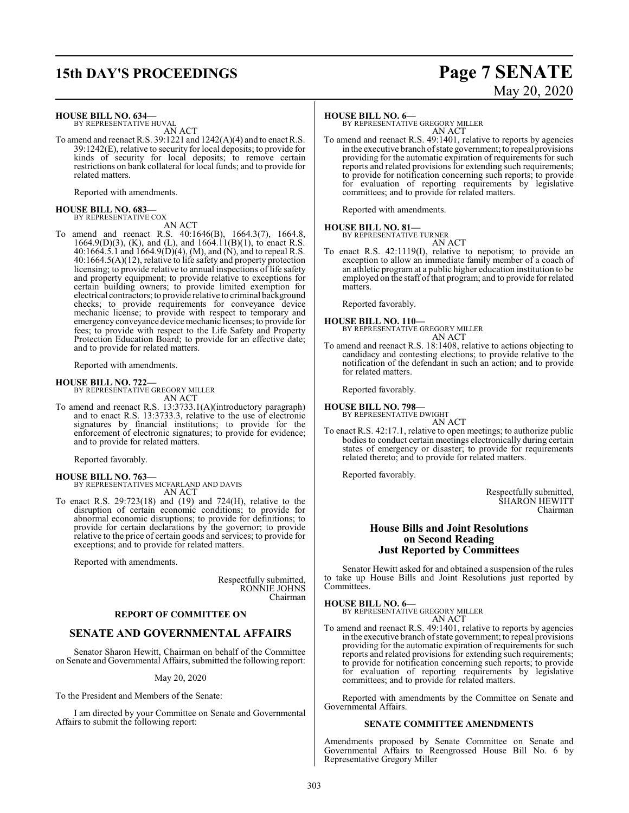## **15th DAY'S PROCEEDINGS Page 7 SENATE**

# May 20, 2020

**HOUSE BILL NO. 634—** BY REPRESENTATIVE HUVAL AN ACT

To amend and reenact R.S. 39:1221 and 1242(A)(4) and to enact R.S. 39:1242(E), relative to security for local deposits; to provide for kinds of security for local deposits; to remove certain restrictions on bank collateral for local funds; and to provide for related matters.

Reported with amendments.

### **HOUSE BILL NO. 683—** BY REPRESENTATIVE COX

AN ACT

To amend and reenact R.S. 40:1646(B), 1664.3(7), 1664.8, 1664.9(D)(3), (K), and (L), and  $1664.11(B)(1)$ , to enact R.S. 40:1664.5.1 and  $1664.9(D)(4)$ , (M), and (N), and to repeal R.S. 40:1664.5(A)(12), relative to life safety and property protection licensing; to provide relative to annual inspections of life safety and property equipment; to provide relative to exceptions for certain building owners; to provide limited exemption for electrical contractors; to provide relative to criminal background checks; to provide requirements for conveyance device mechanic license; to provide with respect to temporary and emergency conveyance device mechanic licenses; to provide for fees; to provide with respect to the Life Safety and Property Protection Education Board; to provide for an effective date; and to provide for related matters.

Reported with amendments.

#### **HOUSE BILL NO. 722—**

BY REPRESENTATIVE GREGORY MILLER AN ACT

To amend and reenact R.S. 13:3733.1(A)(introductory paragraph) and to enact R.S. 13:3733.3, relative to the use of electronic signatures by financial institutions; to provide for the enforcement of electronic signatures; to provide for evidence; and to provide for related matters.

Reported favorably.

#### **HOUSE BILL NO. 763—**

BY REPRESENTATIVES MCFARLAND AND DAVIS AN ACT

To enact R.S. 29:723(18) and (19) and 724(H), relative to the disruption of certain economic conditions; to provide for abnormal economic disruptions; to provide for definitions; to provide for certain declarations by the governor; to provide relative to the price of certain goods and services; to provide for exceptions; and to provide for related matters.

Reported with amendments.

Respectfully submitted, RONNIE JOHNS Chairman

#### **REPORT OF COMMITTEE ON**

#### **SENATE AND GOVERNMENTAL AFFAIRS**

Senator Sharon Hewitt, Chairman on behalf of the Committee on Senate and Governmental Affairs, submitted the following report:

May 20, 2020

To the President and Members of the Senate:

I am directed by your Committee on Senate and Governmental Affairs to submit the following report:

#### **HOUSE BILL NO. 6—**

BY REPRESENTATIVE GREGORY MILLER AN ACT

To amend and reenact R.S. 49:1401, relative to reports by agencies in the executive branch ofstate government; to repeal provisions providing for the automatic expiration of requirements for such reports and related provisions for extending such requirements; to provide for notification concerning such reports; to provide for evaluation of reporting requirements by legislative committees; and to provide for related matters.

Reported with amendments.

#### **HOUSE BILL NO. 81—**

BY REPRESENTATIVE TURNER AN ACT

To enact R.S. 42:1119(I), relative to nepotism; to provide an exception to allow an immediate family member of a coach of an athletic program at a public higher education institution to be employed on the staff of that program; and to provide for related matters.

Reported favorably.

**HOUSE BILL NO. 110—** BY REPRESENTATIVE GREGORY MILLER AN ACT

To amend and reenact R.S. 18:1408, relative to actions objecting to candidacy and contesting elections; to provide relative to the notification of the defendant in such an action; and to provide for related matters.

Reported favorably.

**HOUSE BILL NO. 798—** BY REPRESENTATIVE DWIGHT

- AN ACT
- To enact R.S. 42:17.1, relative to open meetings; to authorize public bodies to conduct certain meetings electronically during certain states of emergency or disaster; to provide for requirements related thereto; and to provide for related matters.

Reported favorably.

Respectfully submitted, SHARON HEWITT Chairman

#### **House Bills and Joint Resolutions on Second Reading Just Reported by Committees**

Senator Hewitt asked for and obtained a suspension of the rules to take up House Bills and Joint Resolutions just reported by Committees.

**HOUSE BILL NO. 6—** BY REPRESENTATIVE GREGORY MILLER

- AN ACT
- To amend and reenact R.S. 49:1401, relative to reports by agencies in the executive branch ofstate government; to repeal provisions providing for the automatic expiration of requirements for such reports and related provisions for extending such requirements; to provide for notification concerning such reports; to provide for evaluation of reporting requirements by legislative committees; and to provide for related matters.

Reported with amendments by the Committee on Senate and Governmental Affairs.

#### **SENATE COMMITTEE AMENDMENTS**

Amendments proposed by Senate Committee on Senate and Governmental Affairs to Reengrossed House Bill No. 6 by Representative Gregory Miller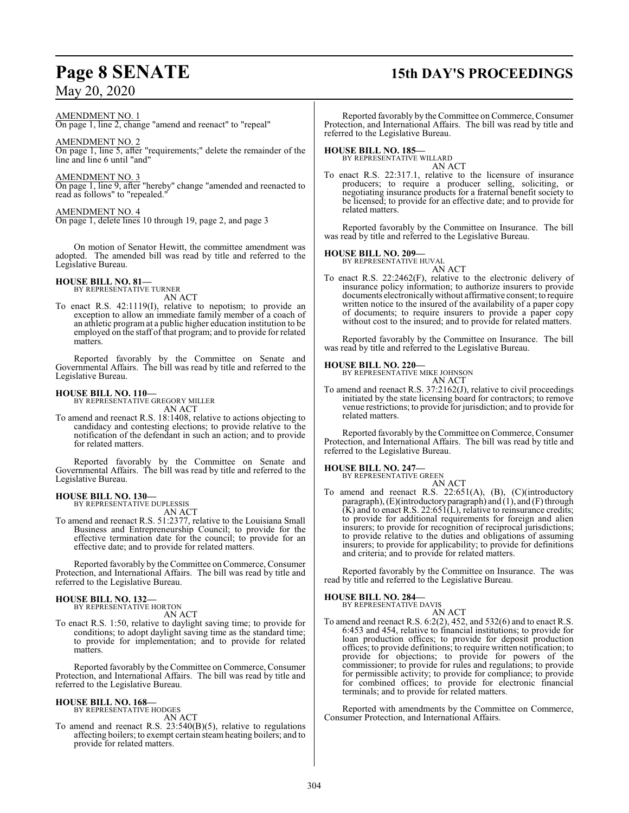#### AMENDMENT NO. 1

On page 1, line 2, change "amend and reenact" to "repeal"

### AMENDMENT NO. 2

On page 1, line 5, after "requirements;" delete the remainder of the line and line 6 until "and"

### AMENDMENT NO. 3

On page 1, line 9, after "hereby" change "amended and reenacted to read as follows" to "repealed."

#### AMENDMENT NO. 4

On page 1, delete lines 10 through 19, page 2, and page 3

On motion of Senator Hewitt, the committee amendment was adopted. The amended bill was read by title and referred to the Legislative Bureau.

#### **HOUSE BILL NO. 81—**

BY REPRESENTATIVE TURNER AN ACT

To enact R.S. 42:1119(I), relative to nepotism; to provide an exception to allow an immediate family member of a coach of an athletic programat a public higher education institution to be employed on the staff of that program; and to provide for related matters.

Reported favorably by the Committee on Senate and Governmental Affairs. The bill was read by title and referred to the Legislative Bureau.

**HOUSE BILL NO. 110—** BY REPRESENTATIVE GREGORY MILLER

AN ACT

To amend and reenact R.S. 18:1408, relative to actions objecting to candidacy and contesting elections; to provide relative to the notification of the defendant in such an action; and to provide for related matters.

Reported favorably by the Committee on Senate and Governmental Affairs. The bill was read by title and referred to the Legislative Bureau.

#### **HOUSE BILL NO. 130—**

BY REPRESENTATIVE DUPLESSIS AN ACT

To amend and reenact R.S. 51:2377, relative to the Louisiana Small Business and Entrepreneurship Council; to provide for the effective termination date for the council; to provide for an effective date; and to provide for related matters.

Reported favorably by the Committee on Commerce, Consumer Protection, and International Affairs. The bill was read by title and referred to the Legislative Bureau.

#### **HOUSE BILL NO. 132—**

BY REPRESENTATIVE HORTON AN ACT

To enact R.S. 1:50, relative to daylight saving time; to provide for conditions; to adopt daylight saving time as the standard time; to provide for implementation; and to provide for related matters.

Reported favorably by the Committee on Commerce, Consumer Protection, and International Affairs. The bill was read by title and referred to the Legislative Bureau.

#### **HOUSE BILL NO. 168—**

BY REPRESENTATIVE HODGES AN ACT

To amend and reenact R.S. 23:540(B)(5), relative to regulations affecting boilers; to exempt certain steamheating boilers; and to provide for related matters.

# **Page 8 SENATE 15th DAY'S PROCEEDINGS**

Reported favorably by the Committee on Commerce, Consumer Protection, and International Affairs. The bill was read by title and referred to the Legislative Bureau.

#### **HOUSE BILL NO. 185—**

BY REPRESENTATIVE WILLARD AN ACT

To enact R.S. 22:317.1, relative to the licensure of insurance producers; to require a producer selling, soliciting, or negotiating insurance products for a fraternal benefit society to be licensed; to provide for an effective date; and to provide for related matters.

Reported favorably by the Committee on Insurance. The bill was read by title and referred to the Legislative Bureau.

**HOUSE BILL NO. 209—** BY REPRESENTATIVE HUVAL AN ACT

To enact R.S. 22:2462(F), relative to the electronic delivery of insurance policy information; to authorize insurers to provide documents electronicallywithout affirmative consent; to require written notice to the insured of the availability of a paper copy of documents; to require insurers to provide a paper copy without cost to the insured; and to provide for related matters.

Reported favorably by the Committee on Insurance. The bill was read by title and referred to the Legislative Bureau.

#### **HOUSE BILL NO. 220—**



To amend and reenact R.S. 37:2162(J), relative to civil proceedings initiated by the state licensing board for contractors; to remove venue restrictions; to provide for jurisdiction; and to provide for related matters.

Reported favorably by the Committee on Commerce, Consumer Protection, and International Affairs. The bill was read by title and referred to the Legislative Bureau.

### **HOUSE BILL NO. 247—**

BY REPRESENTATIVE GREEN AN ACT

To amend and reenact R.S. 22:651(A), (B), (C)(introductory paragraph), (E)(introductoryparagraph) and (1), and (F) through  $(K)$  and to enact R.S. 22:651 $(L)$ , relative to reinsurance credits; to provide for additional requirements for foreign and alien insurers; to provide for recognition of reciprocal jurisdictions; to provide relative to the duties and obligations of assuming insurers; to provide for applicability; to provide for definitions and criteria; and to provide for related matters.

Reported favorably by the Committee on Insurance. The was read by title and referred to the Legislative Bureau.

**HOUSE BILL NO. 284—** BY REPRESENTATIVE DAVIS

AN ACT

To amend and reenact R.S. 6:2(2), 452, and 532(6) and to enact R.S. 6:453 and 454, relative to financial institutions; to provide for loan production offices; to provide for deposit production offices; to provide definitions; to require written notification; to provide for objections; to provide for powers of the commissioner; to provide for rules and regulations; to provide for permissible activity; to provide for compliance; to provide for combined offices; to provide for electronic financial terminals; and to provide for related matters.

Reported with amendments by the Committee on Commerce, Consumer Protection, and International Affairs.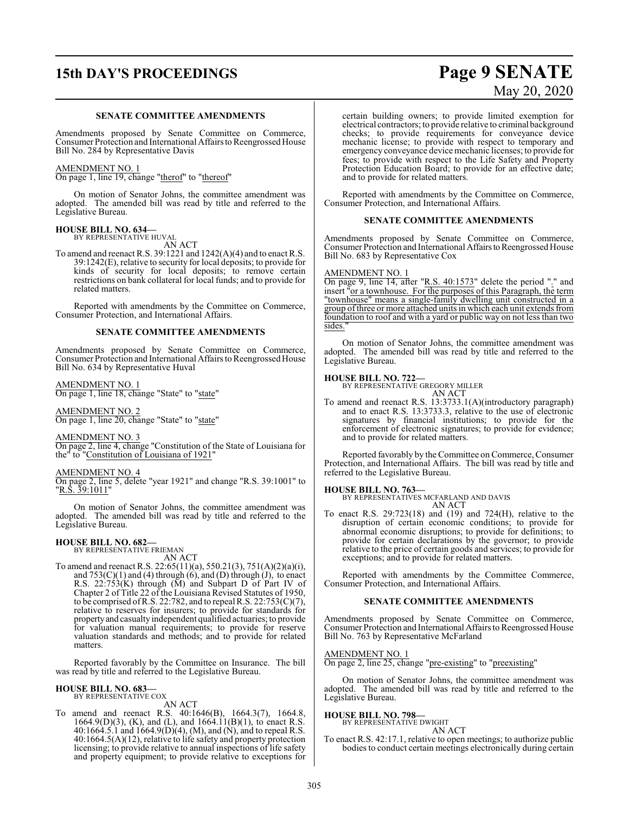# **15th DAY'S PROCEEDINGS Page 9 SENATE**

#### **SENATE COMMITTEE AMENDMENTS**

Amendments proposed by Senate Committee on Commerce, Consumer Protection and International Affairs to Reengrossed House Bill No. 284 by Representative Davis

### AMENDMENT NO. 1

On page 1, line 19, change "therof" to "thereof"

On motion of Senator Johns, the committee amendment was adopted. The amended bill was read by title and referred to the Legislative Bureau.

#### **HOUSE BILL NO. 634—** BY REPRESENTATIVE HUVAL

AN ACT

To amend and reenact R.S. 39:1221 and 1242(A)(4) and to enact R.S. 39:1242(E), relative to security for local deposits; to provide for kinds of security for local deposits; to remove certain restrictions on bank collateral for local funds; and to provide for related matters.

Reported with amendments by the Committee on Commerce, Consumer Protection, and International Affairs.

#### **SENATE COMMITTEE AMENDMENTS**

Amendments proposed by Senate Committee on Commerce, Consumer Protection and International Affairs to Reengrossed House Bill No. 634 by Representative Huval

AMENDMENT NO. 1 On page 1, line 18, change "State" to "state"

AMENDMENT NO. 2 On page 1, line 20, change "State" to "state"

### AMENDMENT NO. 3

On page 2, line 4, change "Constitution of the State of Louisiana for the" to "Constitution of Louisiana of 1921"

#### AMENDMENT NO. 4

On page 2, line 5, delete "year 1921" and change "R.S. 39:1001" to "<u>R.S. 39:1011</u>"

On motion of Senator Johns, the committee amendment was adopted. The amended bill was read by title and referred to the Legislative Bureau.

### **HOUSE BILL NO. 682—**

BY REPRESENTATIVE FRIEMAN AN ACT

To amend and reenact R.S. 22:65(11)(a), 550.21(3), 751(A)(2)(a)(i), and  $753(C)(1)$  and  $(4)$  through  $(6)$ , and  $(D)$  through  $(J)$ , to enact R.S. 22:753(K) through (M) and Subpart D of Part IV of Chapter 2 of Title 22 of the Louisiana Revised Statutes of 1950, to be comprised of R.S. 22:782, and to repeal R.S. 22:753(C)(7), relative to reserves for insurers; to provide for standards for propertyand casualty independent qualified actuaries; to provide for valuation manual requirements; to provide for reserve valuation standards and methods; and to provide for related matters.

Reported favorably by the Committee on Insurance. The bill was read by title and referred to the Legislative Bureau.

### **HOUSE BILL NO. 683—** BY REPRESENTATIVE COX

AN ACT

To amend and reenact R.S. 40:1646(B), 1664.3(7), 1664.8, 1664.9(D)(3), (K), and (L), and 1664.11(B)(1), to enact R.S. 40:1664.5.1 and  $1664.9(D)(4)$ , (M), and (N), and to repeal R.S. 40:1664.5(A)(12), relative to life safety and property protection licensing; to provide relative to annual inspections of life safety and property equipment; to provide relative to exceptions for

certain building owners; to provide limited exemption for electrical contractors; to provide relative to criminal background checks; to provide requirements for conveyance device mechanic license; to provide with respect to temporary and emergency conveyance device mechanic licenses; to provide for fees; to provide with respect to the Life Safety and Property Protection Education Board; to provide for an effective date; and to provide for related matters.

Reported with amendments by the Committee on Commerce, Consumer Protection, and International Affairs.

#### **SENATE COMMITTEE AMENDMENTS**

Amendments proposed by Senate Committee on Commerce, Consumer Protection and International Affairs to Reengrossed House Bill No. 683 by Representative Cox

#### AMENDMENT NO. 1

On page 9, line 14, after "R.S. 40:1573" delete the period "." and insert "or a townhouse. For the purposes of this Paragraph, the term "townhouse" means a single-family dwelling unit constructed in a group ofthree or more attached units in which each unit extends from foundation to roof and with a yard or public way on not less than two sides.

On motion of Senator Johns, the committee amendment was adopted. The amended bill was read by title and referred to the Legislative Bureau.

### **HOUSE BILL NO. 722—** BY REPRESENTATIVE GREGORY MILLER

AN ACT

To amend and reenact R.S. 13:3733.1(A)(introductory paragraph) and to enact R.S. 13:3733.3, relative to the use of electronic signatures by financial institutions; to provide for the enforcement of electronic signatures; to provide for evidence; and to provide for related matters.

Reported favorably by the Committee on Commerce, Consumer Protection, and International Affairs. The bill was read by title and referred to the Legislative Bureau.

### **HOUSE BILL NO. 763—**

BY REPRESENTATIVES MCFARLAND AND DAVIS AN ACT

To enact R.S. 29:723(18) and (19) and 724(H), relative to the disruption of certain economic conditions; to provide for abnormal economic disruptions; to provide for definitions; to provide for certain declarations by the governor; to provide relative to the price of certain goods and services; to provide for exceptions; and to provide for related matters.

Reported with amendments by the Committee Commerce, Consumer Protection, and International Affairs.

#### **SENATE COMMITTEE AMENDMENTS**

Amendments proposed by Senate Committee on Commerce, Consumer Protection and International Affairs to Reengrossed House Bill No. 763 by Representative McFarland

#### AMENDMENT NO. 1

On page 2, line 25, change "pre-existing" to "preexisting"

On motion of Senator Johns, the committee amendment was adopted. The amended bill was read by title and referred to the Legislative Bureau.

#### **HOUSE BILL NO. 798—** BY REPRESENTATIVE DWIGHT

AN ACT

To enact R.S. 42:17.1, relative to open meetings; to authorize public bodies to conduct certain meetings electronically during certain

# May 20, 2020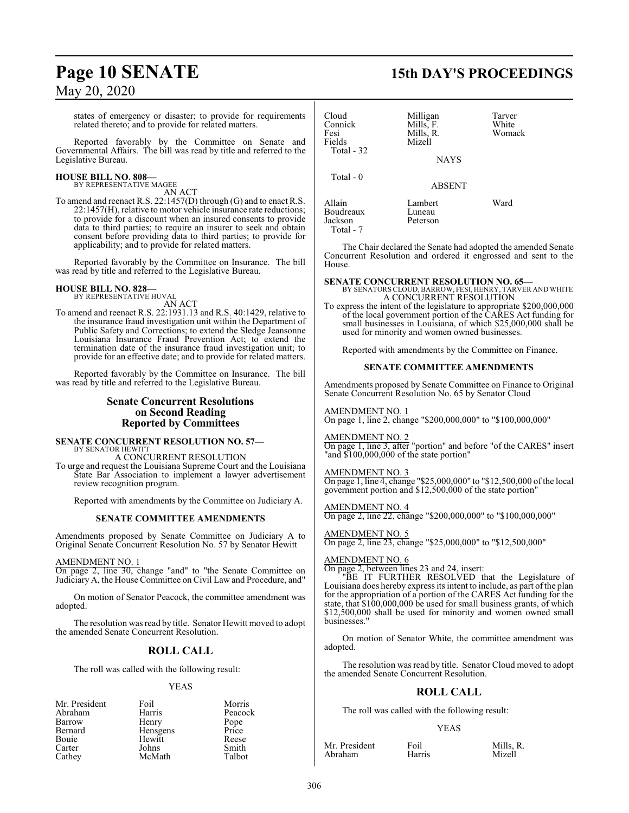states of emergency or disaster; to provide for requirements related thereto; and to provide for related matters.

Reported favorably by the Committee on Senate and Governmental Affairs. The bill was read by title and referred to the Legislative Bureau.

#### **HOUSE BILL NO. 808—** BY REPRESENTATIVE MAGEE

AN ACT

To amend and reenact R.S. 22:1457(D) through (G) and to enact R.S. 22:1457(H), relative to motor vehicle insurance rate reductions; to provide for a discount when an insured consents to provide data to third parties; to require an insurer to seek and obtain consent before providing data to third parties; to provide for applicability; and to provide for related matters.

Reported favorably by the Committee on Insurance. The bill was read by title and referred to the Legislative Bureau.

# **HOUSE BILL NO. 828—** BY REPRESENTATIVE HUVAL

AN ACT

To amend and reenact R.S. 22:1931.13 and R.S. 40:1429, relative to the insurance fraud investigation unit within the Department of Public Safety and Corrections; to extend the Sledge Jeansonne Louisiana Insurance Fraud Prevention Act; to extend the termination date of the insurance fraud investigation unit; to provide for an effective date; and to provide for related matters.

Reported favorably by the Committee on Insurance. The bill was read by title and referred to the Legislative Bureau.

#### **Senate Concurrent Resolutions on Second Reading Reported by Committees**

**SENATE CONCURRENT RESOLUTION NO. 57—** BY SENATOR HEWITT

A CONCURRENT RESOLUTION

To urge and request the Louisiana Supreme Court and the Louisiana State Bar Association to implement a lawyer advertisement review recognition program.

Reported with amendments by the Committee on Judiciary A.

#### **SENATE COMMITTEE AMENDMENTS**

Amendments proposed by Senate Committee on Judiciary A to Original Senate Concurrent Resolution No. 57 by Senator Hewitt

AMENDMENT NO. 1

On page 2, line 30, change "and" to "the Senate Committee on Judiciary A, the House Committee on Civil Law and Procedure, and"

On motion of Senator Peacock, the committee amendment was adopted.

The resolution was read by title. Senator Hewitt moved to adopt the amended Senate Concurrent Resolution.

### **ROLL CALL**

The roll was called with the following result:

#### YEAS

| Mr. President | Foil     | Morris        |
|---------------|----------|---------------|
| Abraham       | Harris   | Peacock       |
| Barrow        | Henry    | Pope<br>Price |
| Bernard       | Hensgens |               |
| Bouie         | Hewitt   | Reese         |
| Carter        | Johns    | Smith         |
| Cathey        | McMath   | Talbot        |

## **Page 10 SENATE 15th DAY'S PROCEEDINGS**

| Cloud<br>Connick<br>Fesi<br>Fields<br>Total - 32 | Milligan<br>Mills, F.<br>Mills, R.<br>Mizell<br><b>NAYS</b> | Tarver<br>White<br>Womack |
|--------------------------------------------------|-------------------------------------------------------------|---------------------------|
| Total $-0$                                       | <b>ABSENT</b>                                               |                           |
| Allain<br>Boudreaux<br>Jackson<br>Total - 7      | Lambert<br>Luneau<br>Peterson                               | Ward                      |

The Chair declared the Senate had adopted the amended Senate Concurrent Resolution and ordered it engrossed and sent to the House.

#### **SENATE CONCURRENT RESOLUTION NO. 65—**

BY SENATORS CLOUD, BARROW, FESI, HENRY, TARVER AND WHITE A CONCURRENT RESOLUTION

To express the intent of the legislature to appropriate \$200,000,000 of the local government portion of the CARES Act funding for small businesses in Louisiana, of which \$25,000,000 shall be used for minority and women owned businesses.

Reported with amendments by the Committee on Finance.

#### **SENATE COMMITTEE AMENDMENTS**

Amendments proposed by Senate Committee on Finance to Original Senate Concurrent Resolution No. 65 by Senator Cloud

AMENDMENT NO. 1 On page 1, line 2, change "\$200,000,000" to "\$100,000,000"

AMENDMENT NO. 2 On page 1, line 3, after "portion" and before "of the CARES" insert "and \$100,000,000 of the state portion"

AMENDMENT NO. 3 On page 1, line 4, change "\$25,000,000" to "\$12,500,000 ofthe local government portion and \$12,500,000 of the state portion"

AMENDMENT NO. 4 On page 2, line 22, change "\$200,000,000" to "\$100,000,000"

AMENDMENT NO. 5 On page 2, line 23, change "\$25,000,000" to "\$12,500,000"

#### AMENDMENT NO. 6

On page 2, between lines 23 and 24, insert:

"BE IT FURTHER RESOLVED that the Legislature of Louisiana does hereby express its intent to include, as part ofthe plan for the appropriation of a portion of the CARES Act funding for the state, that \$100,000,000 be used for small business grants, of which \$12,500,000 shall be used for minority and women owned small businesses."

On motion of Senator White, the committee amendment was adopted.

The resolution was read by title. Senator Cloud moved to adopt the amended Senate Concurrent Resolution.

### **ROLL CALL**

The roll was called with the following result:

#### YEAS

Mr. President Foil Mills, R.<br>Abraham Harris Mizell Abraham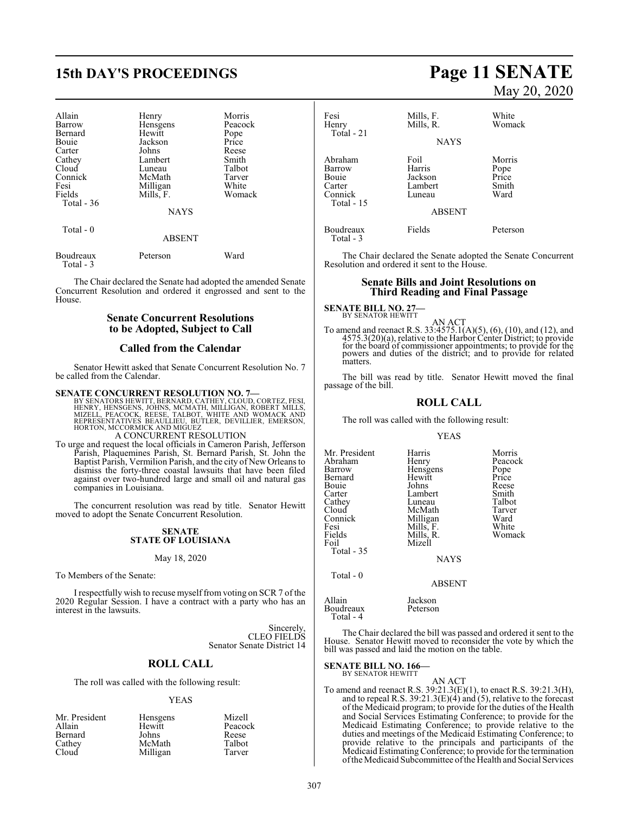# **15th DAY'S PROCEEDINGS Page 11 SENATE**

| Allain                   | Henry                        | Morris  |
|--------------------------|------------------------------|---------|
| Barrow                   | Hensgens                     | Peacock |
| Bernard                  | Hewitt                       | Pope    |
| Bouie                    | Jackson                      | Price   |
| Carter                   | Johns                        | Reese   |
| Cathey                   | Lambert                      | Smith   |
| Cloud                    | Luneau                       | Talbot  |
| Connick                  | McMath                       | Tarver  |
| Fesi                     | Milligan                     | White   |
| Fields                   | Mills, F.                    | Womack  |
| Total $-36$<br>Total - 0 | <b>NAYS</b><br><b>ABSENT</b> |         |

| Boudreaux | Peterson | Ward |
|-----------|----------|------|
| Total - 3 |          |      |

The Chair declared the Senate had adopted the amended Senate Concurrent Resolution and ordered it engrossed and sent to the House.

#### **Senate Concurrent Resolutions to be Adopted, Subject to Call**

#### **Called from the Calendar**

Senator Hewitt asked that Senate Concurrent Resolution No. 7 be called from the Calendar.

SENATE CONCURRENT RESOLUTION NO. 7—<br>
BY SENATORS HEWITT, BERNARD, CATHEY, CLOUD, CORTEZ, FESI,<br>
HENRY, HENSGENS, JOHNS, MCMATH, MILLIGAN, ROBERT MILLS,<br>
MIZELL, PEACOCK, REESE, TALBOT, WHITE AND WOMACK AND<br>
REPRESENTATIVES

A CONCURRENT RESOLUTION

To urge and request the local officials in Cameron Parish, Jefferson Parish, Plaquemines Parish, St. Bernard Parish, St. John the Baptist Parish, Vermilion Parish, and the city of New Orleans to dismiss the forty-three coastal lawsuits that have been filed against over two-hundred large and small oil and natural gas companies in Louisiana.

The concurrent resolution was read by title. Senator Hewitt moved to adopt the Senate Concurrent Resolution.

#### **SENATE STATE OF LOUISIANA**

#### May 18, 2020

To Members of the Senate:

I respectfully wish to recuse myself from voting on SCR 7 of the 2020 Regular Session. I have a contract with a party who has an interest in the lawsuits.

> Sincerely, CLEO FIELDS Senator Senate District 14

#### **ROLL CALL**

The roll was called with the following result:

#### YEAS

| Mr. President | Hensgens | Mizell  |
|---------------|----------|---------|
| Allain        | Hewitt   | Peacock |
| Bernard       | Johns    | Reese   |
| Cathey        | McMath   | Talbot  |
| Cloud         | Milligan | Tarver  |

# May 20, 2020

| Fesi<br>Henry<br>Total - 21                                   | Mills, F.<br>Mills, R.<br><b>NAYS</b>          | White<br>Womack                          |
|---------------------------------------------------------------|------------------------------------------------|------------------------------------------|
| Abraham<br>Barrow<br>Bouie<br>Carter<br>Connick<br>Total - 15 | Foil<br>Harris<br>Jackson<br>Lambert<br>Luneau | Morris<br>Pope<br>Price<br>Smith<br>Ward |
|                                                               | <b>ABSENT</b>                                  |                                          |
| Boudreaux<br>Total - 3                                        | Fields                                         | Peterson                                 |

The Chair declared the Senate adopted the Senate Concurrent Resolution and ordered it sent to the House.

#### **Senate Bills and Joint Resolutions on Third Reading and Final Passage**

**SENATE BILL NO. 27-**<br>BY SENATOR HEWITT

AN ACT<br>To amend and reenact R.S. 33:4575.1(A)(5), (6), (10), and (12), and<br>4575.3(20)(a), relative to the Harbor Center District; to provide for the board of commissioner appointments; to provide for the powers and duties of the district; and to provide for related matters.

The bill was read by title. Senator Hewitt moved the final passage of the bill.

#### **ROLL CALL**

The roll was called with the following result:

#### YEAS

| Mr. President                   | Harris                                 | Morris  |
|---------------------------------|----------------------------------------|---------|
| Abraham                         | Henry                                  | Peacock |
| Barrow                          | Hensgens                               | Pope    |
| Bernard                         | Hewitt                                 | Price   |
| Bouie                           | Johns                                  | Reese   |
| Carter                          | Lambert                                | Smith   |
| Cathey                          | Luneau                                 | Talbot  |
| Cloud                           | McMath                                 | Tarver  |
| Connick                         | Milligan                               | Ward    |
| Fesi                            | Mills, F.                              | White   |
| Fields                          | Mills, R.                              | Womack  |
| Foil<br>Total - 35<br>Total - 0 | Mizell<br><b>NAYS</b><br><b>ABSENT</b> |         |

Boudreaux Total - 4 The Chair declared the bill was passed and ordered it sent to the

House. Senator Hewitt moved to reconsider the vote by which the bill was passed and laid the motion on the table.

#### **SENATE BILL NO. 166—** BY SENATOR HEWITT

Allain Jackson

AN ACT

To amend and reenact R.S. 39:21.3(E)(1), to enact R.S. 39:21.3(H), and to repeal R.S. 39:21.3(E)(4) and (5), relative to the forecast of the Medicaid program; to provide for the duties of the Health and Social Services Estimating Conference; to provide for the Medicaid Estimating Conference; to provide relative to the duties and meetings of the Medicaid Estimating Conference; to provide relative to the principals and participants of the Medicaid EstimatingConference; to provide for the termination ofthe Medicaid Subcommittee ofthe Health and Social Services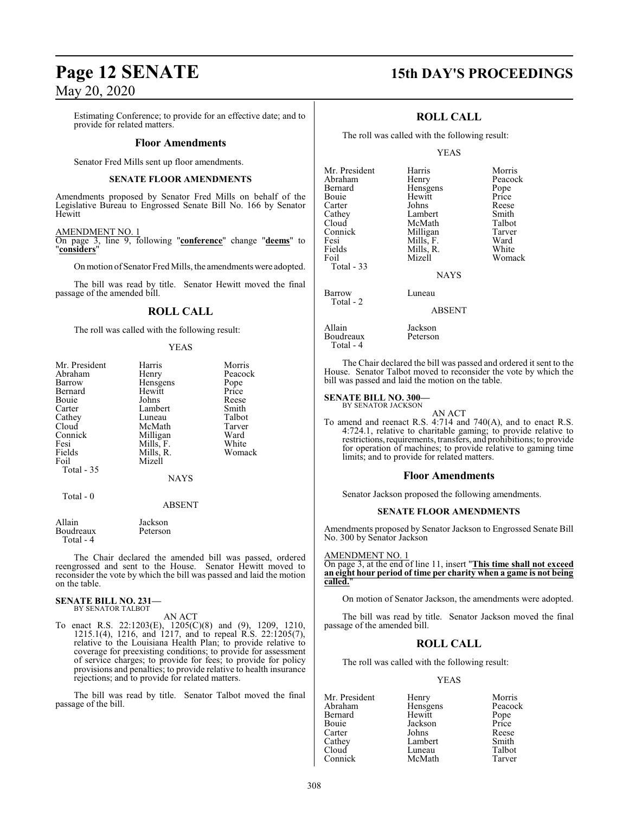Estimating Conference; to provide for an effective date; and to provide for related matters.

#### **Floor Amendments**

Senator Fred Mills sent up floor amendments.

#### **SENATE FLOOR AMENDMENTS**

Amendments proposed by Senator Fred Mills on behalf of the Legislative Bureau to Engrossed Senate Bill No. 166 by Senator Hewitt

#### AMENDMENT NO. 1

On page 3, line 9, following "**conference**" change "**deems**" to "**considers**"

On motion of Senator Fred Mills, the amendments were adopted.

The bill was read by title. Senator Hewitt moved the final passage of the amended bill.

#### **ROLL CALL**

The roll was called with the following result:

#### YEAS

| Mr. President | Harris            | Morris  |
|---------------|-------------------|---------|
| Abraham       | Henry             | Peacock |
| Barrow        | Hensgens          | Pope    |
| Bernard       | Hewitt            | Price   |
| Bouie         | Johns             | Reese   |
| Carter        | Lambert           | Smith   |
| Cathey        | Luneau            | Talbot  |
| Cloud         | McMath            | Tarver  |
| Connick       | Milligan          | Ward    |
| Fesi          | Mills, F.         | White   |
| Fields        | Mills, R.         | Womack  |
| Foil          | Mizell            |         |
| Total - 35    |                   |         |
|               | <b>NAYS</b>       |         |
| Total - 0     |                   |         |
|               | <b>ABSENT</b>     |         |
| $A = 11$      | $\mathbf{T}$ . 1. |         |

| Allain    | Jackson  |
|-----------|----------|
| Boudreaux | Peterson |
| Total - 4 |          |

The Chair declared the amended bill was passed, ordered reengrossed and sent to the House. Senator Hewitt moved to reconsider the vote by which the bill was passed and laid the motion on the table.

#### **SENATE BILL NO. 231—** BY SENATOR TALBOT

AN ACT

To enact R.S. 22:1203(E), 1205(C)(8) and (9), 1209, 1210, 1215.1(4), 1216, and 1217, and to repeal R.S. 22:1205(7), relative to the Louisiana Health Plan; to provide relative to coverage for preexisting conditions; to provide for assessment of service charges; to provide for fees; to provide for policy provisions and penalties; to provide relative to health insurance rejections; and to provide for related matters.

The bill was read by title. Senator Talbot moved the final passage of the bill.

### **Page 12 SENATE 15th DAY'S PROCEEDINGS**

### **ROLL CALL**

The roll was called with the following result:

#### YEAS

| Mr. President<br>Abraham<br>Bernard<br>Bouie<br>Carter<br>Cathey<br>Cloud<br>Connick<br>Fesi<br>Fields | Harris<br>Henry<br>Hensgens<br>Hewitt<br>Johns<br>Lambert<br>McMath<br>Milligan<br>Mills, F.<br>Mills, R. | Morris<br>Peacock<br>Pope<br>Price<br>Reese<br>Smith<br>Talbot<br>Tarver<br>Ward<br>White |
|--------------------------------------------------------------------------------------------------------|-----------------------------------------------------------------------------------------------------------|-------------------------------------------------------------------------------------------|
| Foil<br>Total - 33                                                                                     | Mizell<br><b>NAYS</b>                                                                                     | Womack                                                                                    |
| Barrow<br>Total - 2                                                                                    | Luneau<br><b>ABSENT</b>                                                                                   |                                                                                           |
| Allain                                                                                                 | Jackson                                                                                                   |                                                                                           |

The Chair declared the bill was passed and ordered it sent to the House. Senator Talbot moved to reconsider the vote by which the bill was passed and laid the motion on the table.

#### **SENATE BILL NO. 300—**

Boudreaux Peterson

Total - 4

BY SENATOR JACKSON

AN ACT To amend and reenact R.S. 4:714 and 740(A), and to enact R.S. 4:724.1, relative to charitable gaming; to provide relative to restrictions, requirements, transfers, and prohibitions; to provide for operation of machines; to provide relative to gaming time limits; and to provide for related matters.

#### **Floor Amendments**

Senator Jackson proposed the following amendments.

#### **SENATE FLOOR AMENDMENTS**

Amendments proposed by Senator Jackson to Engrossed Senate Bill No. 300 by Senator Jackson

AMENDMENT NO. 1

On page 3, at the end of line 11, insert "**This time shall not exceed an eight hour period of time per charity when a game is not being** called.

On motion of Senator Jackson, the amendments were adopted.

The bill was read by title. Senator Jackson moved the final passage of the amended bill.

### **ROLL CALL**

The roll was called with the following result:

#### YEAS

Mr. President Henry Morris<br>Abraham Hensgens Peacock Hensgens Peacock<br>
Hewitt Pope Bernard Hewitt Pope<br>Bouie Jackson Price Bouie Jackson Price Carter Johns Reese Cathey Lambert Smith<br>Cloud Luneau Talbot Cloud Luneau Talbot<br>Connick McMath Tarver McMath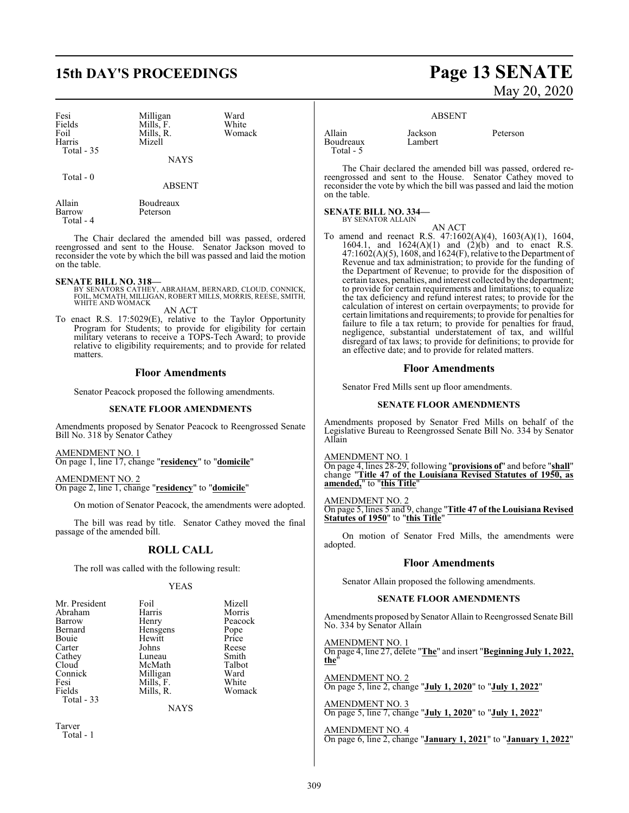## **15th DAY'S PROCEEDINGS Page 13 SENATE**

| Fesi<br>Fields<br>Foil | Milligan<br>Mills. F.<br>Mills. R. | Ward<br>White<br>Womack |
|------------------------|------------------------------------|-------------------------|
| Harris                 | Mizell                             |                         |
| Total $-35$            |                                    |                         |

Total - 0

| Allain    | Boudreaux |
|-----------|-----------|
| Barrow    | Peterson  |
| Total - 4 |           |

The Chair declared the amended bill was passed, ordered reengrossed and sent to the House. Senator Jackson moved to reconsider the vote by which the bill was passed and laid the motion on the table.

NAYS

**ABSENT** 

**SENATE BILL NO. 318—** BY SENATORS CATHEY, ABRAHAM, BERNARD, CLOUD, CONNICK, FOIL, MCMATH, MILLIGAN, ROBERT MILLS, MORRIS, REESE, SMITH, WHITE AND WOMACK

AN ACT

To enact R.S. 17:5029(E), relative to the Taylor Opportunity Program for Students; to provide for eligibility for certain military veterans to receive a TOPS-Tech Award; to provide relative to eligibility requirements; and to provide for related matters.

#### **Floor Amendments**

Senator Peacock proposed the following amendments.

#### **SENATE FLOOR AMENDMENTS**

Amendments proposed by Senator Peacock to Reengrossed Senate Bill No. 318 by Senator Cathey

AMENDMENT NO. 1 On page 1, line 17, change "**residency**" to "**domicile**"

AMENDMENT NO. 2 On page 2, line 1, change "**residency**" to "**domicile**"

On motion of Senator Peacock, the amendments were adopted.

The bill was read by title. Senator Cathey moved the final passage of the amended bill.

#### **ROLL CALL**

The roll was called with the following result:

#### YEAS

| Mr. President | Foil      | Mizell  |
|---------------|-----------|---------|
| Abraham       | Harris    | Morris  |
| Barrow        | Henry     | Peacock |
| Bernard       | Hensgens  | Pope    |
| Bouie         | Hewitt    | Price   |
| Carter        | Johns     | Reese   |
| Cathev        | Luneau    | Smith   |
| Cloud         | McMath    | Talbot  |
| Connick       | Milligan  | Ward    |
| Fesi          | Mills, F. | White   |
| Fields        | Mills, R. | Womack  |
| Total - 33    |           |         |

NAYS

Tarver Total - 1

# May 20, 2020

#### ABSENT

Allain Jackson Peterson<br>Roudreaux Lambert Boudreaux Total - 5

The Chair declared the amended bill was passed, ordered rereengrossed and sent to the House. Senator Cathey moved to reconsider the vote by which the bill was passed and laid the motion on the table.

### **SENATE BILL NO. 334—** BY SENATOR ALLAIN

AN ACT To amend and reenact R.S. 47:1602(A)(4), 1603(A)(1), 1604, 1604.1, and  $1624(A)(1)$  and  $(2)(b)$  and to enact R.S. 47:1602(A)(5), 1608, and 1624(F), relative to the Department of Revenue and tax administration; to provide for the funding of the Department of Revenue; to provide for the disposition of certain taxes, penalties, and interest collected by the department; to provide for certain requirements and limitations; to equalize the tax deficiency and refund interest rates; to provide for the calculation of interest on certain overpayments; to provide for certain limitations and requirements; to provide for penalties for failure to file a tax return; to provide for penalties for fraud, negligence, substantial understatement of tax, and willful disregard of tax laws; to provide for definitions; to provide for an effective date; and to provide for related matters.

#### **Floor Amendments**

Senator Fred Mills sent up floor amendments.

#### **SENATE FLOOR AMENDMENTS**

Amendments proposed by Senator Fred Mills on behalf of the Legislative Bureau to Reengrossed Senate Bill No. 334 by Senator Allain

AMENDMENT NO. 1 On page 4, lines 28-29, following "**provisions of**" and before "**shall**"

change "**Title 47 of the Louisiana Revised Statutes of 1950, as amended,**" to "**this Title**"

AMENDMENT NO. 2

On page 5, lines 5 and 9, change "**Title 47 of the Louisiana Revised Statutes of 1950**" to "**this Title**"

On motion of Senator Fred Mills, the amendments were adopted.

#### **Floor Amendments**

Senator Allain proposed the following amendments.

#### **SENATE FLOOR AMENDMENTS**

Amendments proposed by Senator Allain to Reengrossed Senate Bill No. 334 by Senator Allain

AMENDMENT NO. 1 On page 4, line 27, delete "**The**" and insert "**Beginning July 1, 2022, the**"

AMENDMENT NO. 2 On page 5, line 2, change "**July 1, 2020**" to "**July 1, 2022**"

AMENDMENT NO. 3 On page 5, line 7, change "**July 1, 2020**" to "**July 1, 2022**"

AMENDMENT NO. 4 On page 6, line 2, change "**January 1, 2021**" to "**January 1, 2022**"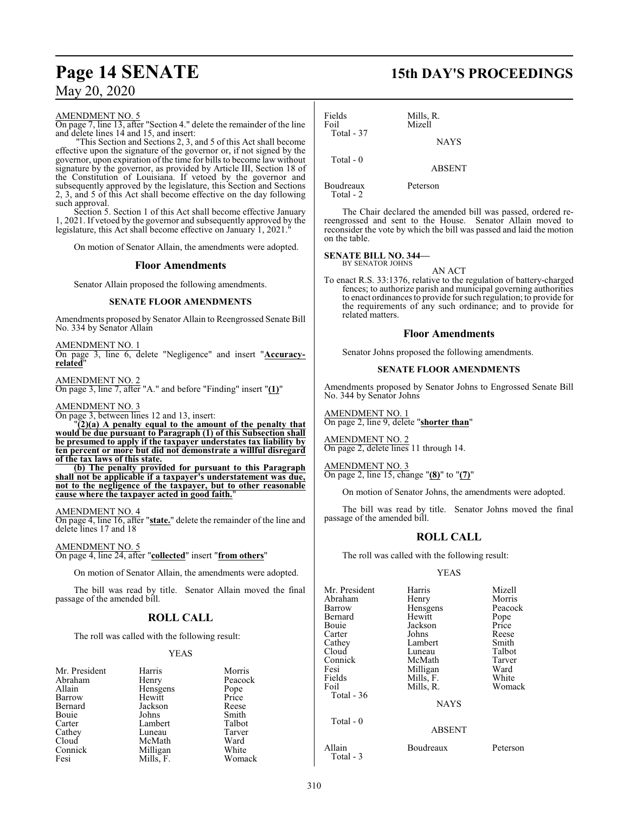#### AMENDMENT NO. 5

On page 7, line 13, after "Section 4." delete the remainder of the line and delete lines 14 and 15, and insert:

"This Section and Sections 2, 3, and 5 of this Act shall become effective upon the signature of the governor or, if not signed by the governor, upon expiration of the time for bills to become law without signature by the governor, as provided by Article III, Section 18 of the Constitution of Louisiana. If vetoed by the governor and subsequently approved by the legislature, this Section and Sections 2, 3, and 5 of this Act shall become effective on the day following such approval.

Section 5. Section 1 of this Act shall become effective January 1, 2021. If vetoed by the governor and subsequently approved by the legislature, this Act shall become effective on January 1, 2021.

On motion of Senator Allain, the amendments were adopted.

#### **Floor Amendments**

Senator Allain proposed the following amendments.

#### **SENATE FLOOR AMENDMENTS**

Amendments proposed by Senator Allain to Reengrossed Senate Bill No. 334 by Senator Allain

AMENDMENT NO. 1 On page 3, line 6, delete "Negligence" and insert "**Accuracyrelated**"

AMENDMENT NO. 2 On page 3, line 7, after "A." and before "Finding" insert "**(1)**"

#### AMENDMENT NO. 3

On page 3, between lines 12 and 13, insert:

"**(2)(a) A penalty equal to the amount of the penalty that would be due pursuant to Paragraph (1) of this Subsection shall be presumed to apply if the taxpayer understates tax liability by ten percent or more but did not demonstrate a willful disregard of the tax laws of this state.**

**(b) The penalty provided for pursuant to this Paragraph shall not be applicable if a taxpayer's understatement was due, not to the negligence of the taxpayer, but to other reasonable cause where the taxpayer acted in good faith.**"

#### AMENDMENT NO. 4

On page 4, line 16, after "**state.**" delete the remainder of the line and delete lines 17 and 18

AMENDMENT NO. 5 On page 4, line 24, after "**collected**" insert "**from others**"

On motion of Senator Allain, the amendments were adopted.

The bill was read by title. Senator Allain moved the final passage of the amended bill.

### **ROLL CALL**

The roll was called with the following result:

#### YEAS

| Mr. President | Harris    | Morris        |
|---------------|-----------|---------------|
|               |           |               |
| Abraham       | Henry     | Peacock       |
| Allain        | Hensgens  | Pope<br>Price |
| Barrow        | Hewitt    |               |
| Bernard       | Jackson   | Reese         |
| Bouie         | Johns     | Smith         |
| Carter        | Lambert   | Talbot        |
| Cathey        | Luneau    | Tarver        |
| Cloud         | McMath    | Ward          |
| Connick       | Milligan  | White         |
| Fesi          | Mills. F. | Womack        |

### **Page 14 SENATE 15th DAY'S PROCEEDINGS**

Fields Mills, R. Mizell Total - 37

Total - 0

Boudreaux Peterson Total - 2

The Chair declared the amended bill was passed, ordered rereengrossed and sent to the House. Senator Allain moved to reconsider the vote by which the bill was passed and laid the motion on the table.

**NAYS** 

ABSENT

# **SENATE BILL NO. 344—** BY SENATOR JOHNS

AN ACT

To enact R.S. 33:1376, relative to the regulation of battery-charged fences; to authorize parish and municipal governing authorities to enact ordinances to provide for such regulation; to provide for the requirements of any such ordinance; and to provide for related matters.

#### **Floor Amendments**

Senator Johns proposed the following amendments.

#### **SENATE FLOOR AMENDMENTS**

Amendments proposed by Senator Johns to Engrossed Senate Bill No. 344 by Senator Johns

AMENDMENT NO. 1 On page 2, line 9, delete "**shorter than**"

AMENDMENT NO. 2 On page 2, delete lines 11 through 14.

AMENDMENT NO. 3 On page 2, line 15, change "**(8)**" to "**(7)**"

On motion of Senator Johns, the amendments were adopted.

The bill was read by title. Senator Johns moved the final passage of the amended bill.

### **ROLL CALL**

The roll was called with the following result:

#### YEAS

| Mr. President | Harris        | Mizell   |
|---------------|---------------|----------|
| Abraham       | Henry         | Morris   |
| Barrow        | Hensgens      | Peacock  |
| Bernard       | Hewitt        | Pope     |
| Bouie         | Jackson       | Price    |
| Carter        | Johns         | Reese    |
| Cathey        | Lambert       | Smith    |
| Cloud         | Luneau        | Talbot   |
| Connick       | McMath        | Tarver   |
| Fesi          | Milligan      | Ward     |
| Fields        | Mills, F.     | White    |
| Foil          | Mills, R.     | Womack   |
| Total $-36$   |               |          |
|               | <b>NAYS</b>   |          |
| Total $-0$    |               |          |
|               | <b>ABSENT</b> |          |
| Allain        | Boudreaux     | Peterson |

Total - 3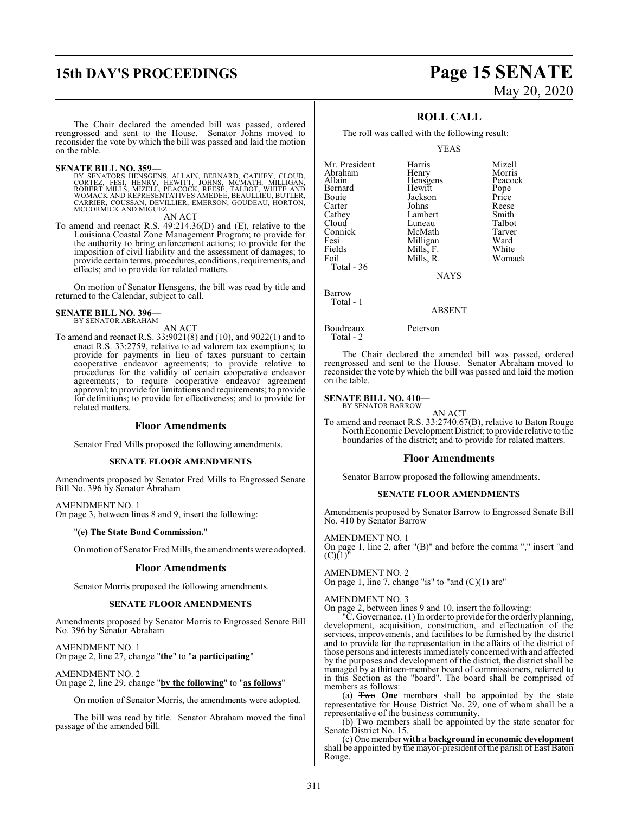# **15th DAY'S PROCEEDINGS Page 15 SENATE**

# May 20, 2020

The Chair declared the amended bill was passed, ordered reengrossed and sent to the House. Senator Johns moved to reconsider the vote by which the bill was passed and laid the motion on the table.

SENATE BILL NO. 359-<br>
BY SENATORS HENSGENS, ALLAIN, BERNARD, CATHEY, CLOUD,<br>
CORTEZ, FESI, HENRY, HEWITT, JOHNS, MCMATH, MILLIGAN,<br>
ROBERT MILLS, MIZELL, PEACOCK, REESE, TALBOT, WHITE AND<br>
WOMACK AND REPRESENTATIVES AMEDEE MCCORMICK AND MIGUEZ

AN ACT

To amend and reenact R.S. 49:214.36(D) and (E), relative to the Louisiana Coastal Zone Management Program; to provide for the authority to bring enforcement actions; to provide for the imposition of civil liability and the assessment of damages; to provide certain terms, procedures, conditions, requirements, and effects; and to provide for related matters.

On motion of Senator Hensgens, the bill was read by title and returned to the Calendar, subject to call.

#### **SENATE BILL NO. 396—** BY SENATOR ABRAHAM

AN ACT

To amend and reenact R.S. 33:9021(8) and (10), and 9022(1) and to enact R.S. 33:2759, relative to ad valorem tax exemptions; to provide for payments in lieu of taxes pursuant to certain cooperative endeavor agreements; to provide relative to procedures for the validity of certain cooperative endeavor agreements; to require cooperative endeavor agreement approval; to provide for limitations and requirements; to provide for definitions; to provide for effectiveness; and to provide for related matters.

#### **Floor Amendments**

Senator Fred Mills proposed the following amendments.

#### **SENATE FLOOR AMENDMENTS**

Amendments proposed by Senator Fred Mills to Engrossed Senate Bill No. 396 by Senator Abraham

AMENDMENT NO. 1 On page 3, between lines 8 and 9, insert the following:

#### "**(e) The State Bond Commission.**"

Onmotion ofSenator Fred Mills, the amendments were adopted.

#### **Floor Amendments**

Senator Morris proposed the following amendments.

#### **SENATE FLOOR AMENDMENTS**

Amendments proposed by Senator Morris to Engrossed Senate Bill No. 396 by Senator Abraham

#### AMENDMENT NO. 1

On page 2, line 27, change "**the**" to "**a participating**"

#### AMENDMENT NO. 2

On page 2, line 29, change "**by the following**" to "**as follows**"

On motion of Senator Morris, the amendments were adopted.

The bill was read by title. Senator Abraham moved the final passage of the amended bill.

### **ROLL CALL**

The roll was called with the following result:

YEAS

| Mr. President<br>Abraham<br>Allain<br>Bernard<br>Bouie<br>Carter<br>Cathey<br>Cloud<br>Connick<br>Fesi<br>Fields<br>Foil<br>Total - 36 | Harris<br>Henry<br>Hensgens<br>Hewitt<br>Jackson<br>Johns<br>Lambert<br>Luneau<br>McMath<br>Milligan<br>Mills, F.<br>Mills, R.<br><b>NAYS</b> | Mizell<br>Morris<br>Peacock<br>Pope<br>Price<br>Reese<br>Smith<br>Talbot<br>Tarver<br>Ward<br>White<br>Womack |
|----------------------------------------------------------------------------------------------------------------------------------------|-----------------------------------------------------------------------------------------------------------------------------------------------|---------------------------------------------------------------------------------------------------------------|
| Barrow                                                                                                                                 |                                                                                                                                               |                                                                                                               |

ABSENT

Boudreaux Peterson

Total - 2

Total - 1

The Chair declared the amended bill was passed, ordered reengrossed and sent to the House. Senator Abraham moved to reconsider the vote by which the bill was passed and laid the motion on the table.

#### **SENATE BILL NO. 410—** BY SENATOR BARROW

AN ACT To amend and reenact R.S. 33:2740.67(B), relative to Baton Rouge North Economic Development District; to provide relative to the boundaries of the district; and to provide for related matters.

#### **Floor Amendments**

Senator Barrow proposed the following amendments.

#### **SENATE FLOOR AMENDMENTS**

Amendments proposed by Senator Barrow to Engrossed Senate Bill No. 410 by Senator Barrow

AMENDMENT NO. 1

On page 1, line 2, after "(B)" and before the comma "," insert "and  $(C)$ (1)<sup> $\bar{C}$ </sup>

#### AMENDMENT NO. 2

On page 1, line 7, change "is" to "and  $(C)(1)$  are"

#### AMENDMENT NO. 3

On page 2, between lines 9 and 10, insert the following:

"C. Governance. (1) In order to provide forthe orderly planning, development, acquisition, construction, and effectuation of the services, improvements, and facilities to be furnished by the district and to provide for the representation in the affairs of the district of those persons and interests immediately concerned with and affected by the purposes and development of the district, the district shall be managed by a thirteen-member board of commissioners, referred to in this Section as the "board". The board shall be comprised of members as follows:

(a) Two **One** members shall be appointed by the state representative for House District No. 29, one of whom shall be a representative of the business community.

(b) Two members shall be appointed by the state senator for Senate District No. 15.

(c) One member **with a background in economic development** shall be appointed by the mayor-president of the parish of East Baton Rouge.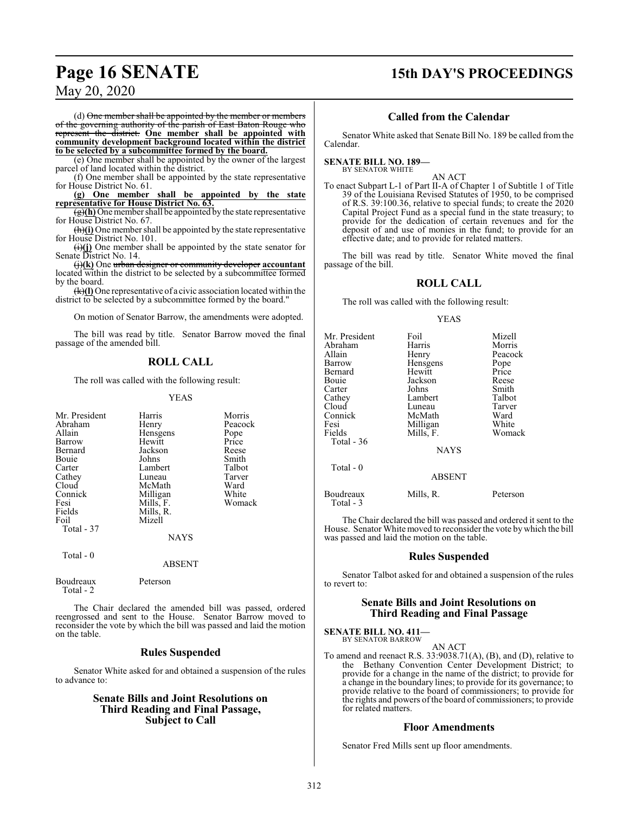## **Page 16 SENATE 15th DAY'S PROCEEDINGS**

### May 20, 2020

 $(d)$  One member shall be appointed by the member or members of the governing authority of the parish of East Baton Rouge who represent the district. **One member shall be appointed with community development background located within the district to be selected by a subcommittee formed by the board.**

(e) One member shall be appointed by the owner of the largest parcel of land located within the district.

(f) One member shall be appointed by the state representative for House District No. 61.

**(g) One member shall be appointed by the state representative for House District No. 63.**

 $\frac{1}{2}$ (h) One member shall be appointed by the state representative for House District No. 67.

(h)**(i)** One member shall be appointed by the state representative for House District No. 101.

(i)**(j)** One member shall be appointed by the state senator for Senate District No. 14.

(j)**(k)** One urban designer or community developer **accountant** located within the district to be selected by a subcommittee formed by the board.

(k)**(l)** One representative of a civic association located within the district to be selected by a subcommittee formed by the board."

On motion of Senator Barrow, the amendments were adopted.

The bill was read by title. Senator Barrow moved the final passage of the amended bill.

### **ROLL CALL**

The roll was called with the following result:

#### YEAS

| Mr. President<br>Abraham<br>Allain<br>Barrow<br>Bernard<br>Bouie<br>Carter<br>Cathey<br>Cloud<br>Connick<br>Fesi | Harris<br>Henry<br>Hensgens<br>Hewitt<br>Jackson<br>Johns<br>Lambert<br>Luneau<br>McMath<br>Milligan<br>Mills, F. | Morris<br>Peacock<br>Pope<br>Price<br>Reese<br>Smith<br>Talbot<br>Tarver<br>Ward<br>White<br>Womack |
|------------------------------------------------------------------------------------------------------------------|-------------------------------------------------------------------------------------------------------------------|-----------------------------------------------------------------------------------------------------|
| Fields                                                                                                           | Mills, R.                                                                                                         |                                                                                                     |
| Foil<br>Total - 37                                                                                               | Mizell                                                                                                            |                                                                                                     |
|                                                                                                                  | <b>NAYS</b>                                                                                                       |                                                                                                     |
| Total $-0$                                                                                                       | <b>ABSENT</b>                                                                                                     |                                                                                                     |

| Boudreaux<br>Total - 2 | Peterson |
|------------------------|----------|
|                        |          |

The Chair declared the amended bill was passed, ordered reengrossed and sent to the House. Senator Barrow moved to reconsider the vote by which the bill was passed and laid the motion on the table.

#### **Rules Suspended**

Senator White asked for and obtained a suspension of the rules to advance to:

#### **Senate Bills and Joint Resolutions on Third Reading and Final Passage, Subject to Call**

#### **Called from the Calendar**

Senator White asked that Senate Bill No. 189 be called from the Calendar.

#### **SENATE BILL NO. 189—** BY SENATOR WHITE

AN ACT

To enact Subpart L-1 of Part II-A of Chapter 1 of Subtitle 1 of Title 39 of the Louisiana Revised Statutes of 1950, to be comprised of R.S. 39:100.36, relative to special funds; to create the 2020 Capital Project Fund as a special fund in the state treasury; to provide for the dedication of certain revenues and for the deposit of and use of monies in the fund; to provide for an effective date; and to provide for related matters.

The bill was read by title. Senator White moved the final passage of the bill.

#### **ROLL CALL**

The roll was called with the following result:

YEAS

| Mr. President<br>Abraham<br>Allain<br>Barrow<br>Bernard<br>Bouie<br>Carter<br>Cathey<br>Cloud<br>Connick<br>Fesi<br>Fields | Foil<br>Harris<br>Henry<br>Hensgens<br>Hewitt<br>Jackson<br>Johns<br>Lambert<br>Luneau<br>McMath<br>Milligan<br>Mills, F. | Mizell<br>Morris<br>Peacock<br>Pope<br>Price<br>Reese<br>Smith<br>Talbot<br>Tarver<br>Ward<br>White<br>Womack |
|----------------------------------------------------------------------------------------------------------------------------|---------------------------------------------------------------------------------------------------------------------------|---------------------------------------------------------------------------------------------------------------|
| Total - 36                                                                                                                 | <b>NAYS</b>                                                                                                               |                                                                                                               |
| Total - 0                                                                                                                  | <b>ABSENT</b>                                                                                                             |                                                                                                               |
| Boudreaux<br>Total - 3                                                                                                     | Mills, R.                                                                                                                 | Peterson                                                                                                      |

The Chair declared the bill was passed and ordered it sent to the House. Senator White moved to reconsider the vote by which the bill was passed and laid the motion on the table.

#### **Rules Suspended**

Senator Talbot asked for and obtained a suspension of the rules to revert to:

#### **Senate Bills and Joint Resolutions on Third Reading and Final Passage**

**SENATE BILL NO. 411—** BY SENATOR BARROW

AN ACT

To amend and reenact R.S. 33:9038.71(A), (B), and (D), relative to the Bethany Convention Center Development District; to provide for a change in the name of the district; to provide for a change in the boundary lines; to provide for its governance; to provide relative to the board of commissioners; to provide for the rights and powers of the board of commissioners; to provide for related matters.

#### **Floor Amendments**

Senator Fred Mills sent up floor amendments.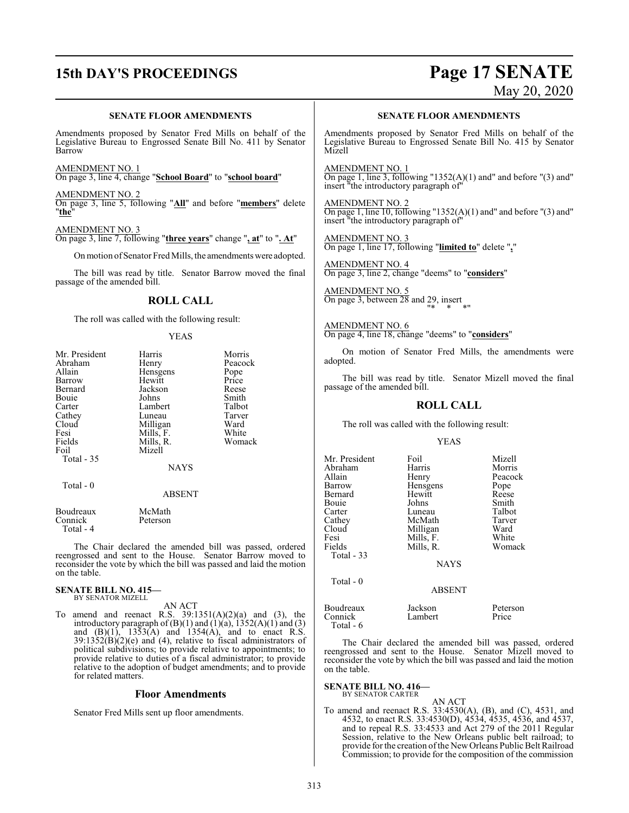# **15th DAY'S PROCEEDINGS Page 17 SENATE**

# May 20, 2020

#### **SENATE FLOOR AMENDMENTS**

Amendments proposed by Senator Fred Mills on behalf of the Legislative Bureau to Engrossed Senate Bill No. 411 by Senator Barrow

AMENDMENT NO. 1 On page 3, line 4, change "**School Board**" to "**school board**"

AMENDMENT NO. 2 On page 3, line 5, following "**All**" and before "**members**" delete "**the**"

AMENDMENT NO. 3

On page 3, line 7, following "**three years**" change "**, at**" to "**. At**"

On motion of Senator Fred Mills, the amendments were adopted.

The bill was read by title. Senator Barrow moved the final passage of the amended bill.

#### **ROLL CALL**

The roll was called with the following result:

#### YEAS

| Mr. President | Harris        | Morris  |
|---------------|---------------|---------|
| Abraham       | Henry         | Peacock |
| Allain        | Hensgens      | Pope    |
| Barrow        | Hewitt        | Price   |
| Bernard       | Jackson       | Reese   |
| Bouie         | Johns         | Smith   |
| Carter        | Lambert       | Talbot  |
| Cathey        | Luneau        | Tarver  |
| Cloud         | Milligan      | Ward    |
| Fesi          | Mills, F.     | White   |
| Fields        | Mills, R.     | Womack  |
| Foil          | Mizell        |         |
| Total - 35    |               |         |
|               | NAYS          |         |
| Total - 0     |               |         |
|               | <b>ABSENT</b> |         |
| Boudreaux     | McMath        |         |
| Connick       | Peterson      |         |

Total - 4

The Chair declared the amended bill was passed, ordered reengrossed and sent to the House. Senator Barrow moved to reconsider the vote by which the bill was passed and laid the motion on the table.

#### **SENATE BILL NO. 415—** BY SENATOR MIZELL

AN ACT

To amend and reenact R.S.  $39:1351(A)(2)(a)$  and (3), the introductory paragraph of  $(B)(1)$  and  $(1)(a)$ ,  $1352(A)(1)$  and  $(3)$ and  $(B)(1)$ , 1353 $(A)$  and 1354 $(A)$ , and to enact R.S.  $39:1352(B)(2)(e)$  and (4), relative to fiscal administrators of political subdivisions; to provide relative to appointments; to provide relative to duties of a fiscal administrator; to provide relative to the adoption of budget amendments; and to provide for related matters.

#### **Floor Amendments**

Senator Fred Mills sent up floor amendments.

#### **SENATE FLOOR AMENDMENTS**

Amendments proposed by Senator Fred Mills on behalf of the Legislative Bureau to Engrossed Senate Bill No. 415 by Senator Mizell

AMENDMENT NO. 1 On page 1, line 3, following "1352(A)(1) and" and before "(3) and" insert "the introductory paragraph of"

AMENDMENT NO. 2 On page 1, line  $10$ , following "1352(A)(1) and" and before "(3) and" insert "the introductory paragraph of"

AMENDMENT NO. 3 On page 1, line 17, following "**limited to**" delete "**,**"

AMENDMENT NO. 4 On page 3, line 2, change "deems" to "**considers**"

AMENDMENT NO. 5 On page 3, between 28 and 29, insert "\* \* \*"

AMENDMENT NO. 6 On page 4, line 18, change "deems" to "**considers**"

On motion of Senator Fred Mills, the amendments were adopted.

The bill was read by title. Senator Mizell moved the final passage of the amended bill.

#### **ROLL CALL**

The roll was called with the following result:

YEAS

| Mr. President | Foil        | Mizell  |
|---------------|-------------|---------|
| Abraham       | Harris      | Morris  |
| Allain        | Henry       | Peacock |
| Barrow        | Hensgens    | Pope    |
| Bernard       | Hewitt      | Reese   |
| Bouie         | Johns       | Smith   |
| Carter        | Luneau      | Talbot  |
| Cathey        | McMath      | Tarver  |
| Cloud         | Milligan    | Ward    |
| Fesi          | Mills, F.   | White   |
| Fields        | Mills, R.   | Womack  |
| Total - 33    |             |         |
|               | <b>NAYS</b> |         |
| Total - 0     |             |         |

#### ABSENT

Boudreaux Jackson Peterson Connick Total - 6

The Chair declared the amended bill was passed, ordered reengrossed and sent to the House. Senator Mizell moved to reconsider the vote by which the bill was passed and laid the motion on the table.

### **SENATE BILL NO. 416—** BY SENATOR CARTER

AN ACT To amend and reenact R.S. 33:4530(A), (B), and (C), 4531, and 4532, to enact R.S. 33:4530(D), 4534, 4535, 4536, and 4537, and to repeal R.S. 33:4533 and Act 279 of the 2011 Regular Session, relative to the New Orleans public belt railroad; to provide for the creation of the New Orleans Public Belt Railroad Commission; to provide for the composition of the commission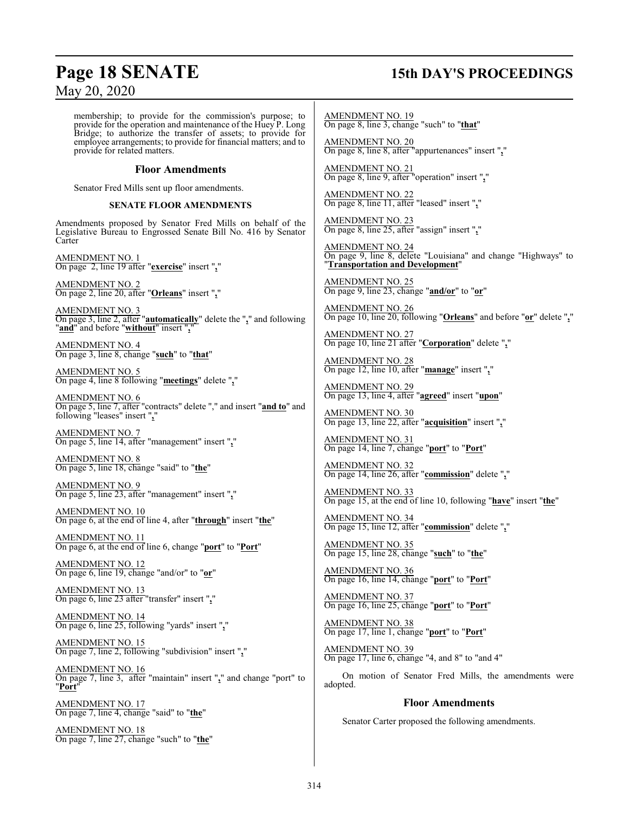## **Page 18 SENATE 15th DAY'S PROCEEDINGS**

membership; to provide for the commission's purpose; to provide for the operation and maintenance of the Huey P. Long Bridge; to authorize the transfer of assets; to provide for employee arrangements; to provide for financial matters; and to provide for related matters.

#### **Floor Amendments**

Senator Fred Mills sent up floor amendments.

#### **SENATE FLOOR AMENDMENTS**

Amendments proposed by Senator Fred Mills on behalf of the Legislative Bureau to Engrossed Senate Bill No. 416 by Senator **Carter** 

AMENDMENT NO. 1 On page 2, line 19 after "**exercise**" insert "**,**"

AMENDMENT NO. 2 On page 2, line 20, after "**Orleans**" insert "**,**"

AMENDMENT NO. 3 On page 3, line 2, after "**automatically**" delete the "**,**" and following "**and**" and before "**without**" insert "**,**"

AMENDMENT NO. 4 On page 3, line 8, change "**such**" to "**that**"

AMENDMENT NO. 5 On page 4, line 8 following "**meetings**" delete "**,**"

AMENDMENT NO. 6 On page 5, line 7, after "contracts" delete "," and insert "**and to**" and following "leases" insert "**,**"

AMENDMENT NO. 7 On page 5, line 14, after "management" insert "**,**"

AMENDMENT NO. 8 On page 5, line 18, change "said" to "**the**"

AMENDMENT NO. 9 On page 5, line 23, after "management" insert "**,**"

AMENDMENT NO. 10 On page 6, at the end of line 4, after "**through**" insert "**the**"

AMENDMENT NO. 11 On page 6, at the end of line 6, change "**port**" to "**Port**"

AMENDMENT NO. 12 On page 6, line 19, change "and/or" to "**or**"

AMENDMENT NO. 13 On page 6, line 23 after "transfer" insert "**,**"

AMENDMENT NO. 14 On page 6, line 25, following "yards" insert "**,**"

AMENDMENT NO. 15 On page 7, line 2, following "subdivision" insert "**,**"

AMENDMENT NO. 16 On page 7, line 3, after "maintain" insert "**,**" and change "port" to "**Port**"

AMENDMENT NO. 17 On page 7, line 4, change "said" to "**the**"

AMENDMENT NO. 18 On page 7, line 27, change "such" to "**the**"

AMENDMENT NO. 19 On page 8, line 3, change "such" to "**that**"

AMENDMENT NO. 20 On page 8, line 8, after "appurtenances" insert "**,**"

AMENDMENT NO. 21 On page 8, line 9, after "operation" insert "**,**"

AMENDMENT NO. 22 On page 8, line 11, after "leased" insert "**,**"

AMENDMENT NO. 23 On page 8, line 25, after "assign" insert "**,**"

AMENDMENT NO. 24 On page 9, line 8, delete "Louisiana" and change "Highways" to "**Transportation and Development**"

AMENDMENT NO. 25 On page 9, line 23, change "**and/or**" to "**or**"

AMENDMENT NO. 26 On page 10, line 20, following "**Orleans**" and before "**or**" delete "**,**"

AMENDMENT NO. 27 On page 10, line 21 after "**Corporation**" delete "**,**"

AMENDMENT NO. 28 On page 12, line 10, after "**manage**" insert "**,**"

AMENDMENT NO. 29 On page 13, line 4, after "**agreed**" insert "**upon**"

AMENDMENT NO. 30 On page 13, line 22, after "**acquisition**" insert "**,**"

AMENDMENT NO. 31 On page 14, line 7, change "**port**" to "**Port**"

AMENDMENT NO. 32 On page 14, line 26, after "**commission**" delete "**,**"

AMENDMENT NO. 33 On page 15, at the end of line 10, following "**have**" insert "**the**"

AMENDMENT NO. 34 On page 15, line 12, after "**commission**" delete "**,**"

AMENDMENT NO. 35 On page 15, line 28, change "**such**" to "**the**"

AMENDMENT NO. 36 On page 16, line 14, change "**port**" to "**Port**"

AMENDMENT NO. 37 On page 16, line 25, change "**port**" to "**Port**"

AMENDMENT NO. 38 On page 17, line 1, change "**port**" to "**Port**"

AMENDMENT NO. 39 On page 17, line 6, change "4, and 8" to "and 4"

On motion of Senator Fred Mills, the amendments were adopted.

### **Floor Amendments**

Senator Carter proposed the following amendments.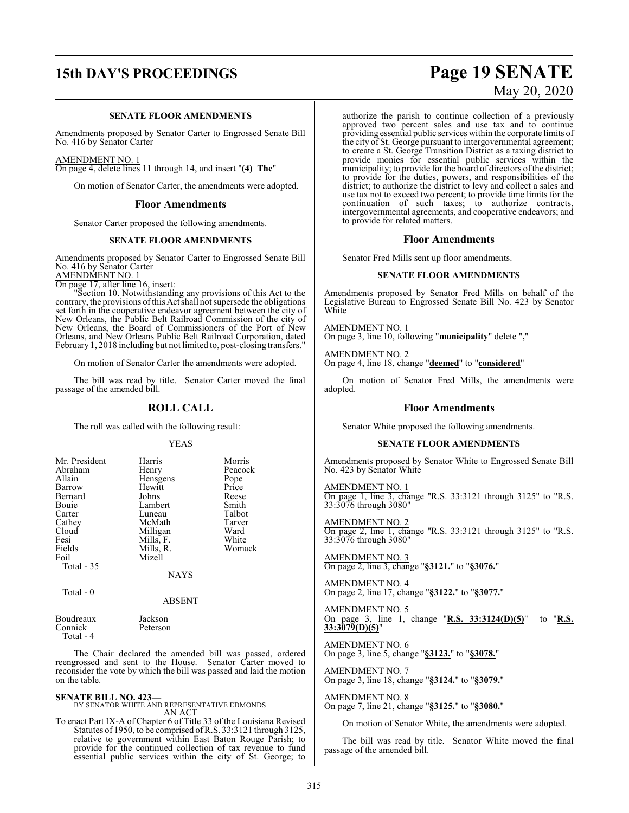#### **SENATE FLOOR AMENDMENTS**

Amendments proposed by Senator Carter to Engrossed Senate Bill No. 416 by Senator Carter

#### AMENDMENT NO. 1

On page 4, delete lines 11 through 14, and insert "**(4) The**"

On motion of Senator Carter, the amendments were adopted.

#### **Floor Amendments**

Senator Carter proposed the following amendments.

#### **SENATE FLOOR AMENDMENTS**

Amendments proposed by Senator Carter to Engrossed Senate Bill No. 416 by Senator Carter AMENDMENT NO. 1

On page 17, after line 16, insert:

"Section 10. Notwithstanding any provisions of this Act to the contrary, the provisions ofthis Act shall not supersede the obligations set forth in the cooperative endeavor agreement between the city of New Orleans, the Public Belt Railroad Commission of the city of New Orleans, the Board of Commissioners of the Port of New Orleans, and New Orleans Public Belt Railroad Corporation, dated February 1, 2018 including but not limited to, post-closing transfers."

On motion of Senator Carter the amendments were adopted.

The bill was read by title. Senator Carter moved the final passage of the amended bill.

#### **ROLL CALL**

The roll was called with the following result:

#### YEAS

| Mr. President<br>Abraham<br>Allain<br>Barrow<br>Bernard<br>Bouie<br>Carter<br>Cathey<br>Cloud | Harris<br>Henry<br>Hensgens<br>Hewitt<br>Johns<br>Lambert<br>Luneau<br>McMath<br>Milligan | Morris<br>Peacock<br>Pope<br>Price<br>Reese<br>Smith<br>Talbot<br>Tarver<br>Ward |
|-----------------------------------------------------------------------------------------------|-------------------------------------------------------------------------------------------|----------------------------------------------------------------------------------|
| Fesi                                                                                          | Mills, F.                                                                                 | White                                                                            |
| Fields<br>Foil                                                                                | Mills, R.<br>Mizell                                                                       | Womack                                                                           |
| Total - 35                                                                                    | NAYS                                                                                      |                                                                                  |

#### $Total = 0$

ABSENT

| Boudreaux | Jackson  |
|-----------|----------|
| Connick   | Peterson |
| Total - 4 |          |

The Chair declared the amended bill was passed, ordered reengrossed and sent to the House. Senator Carter moved to reconsider the vote by which the bill was passed and laid the motion on the table.

**SENATE BILL NO. 423—** BY SENATOR WHITE AND REPRESENTATIVE EDMONDS AN ACT

To enact Part IX-A of Chapter 6 of Title 33 of the Louisiana Revised Statutes of 1950, to be comprised ofR.S. 33:3121 through 3125, relative to government within East Baton Rouge Parish; to provide for the continued collection of tax revenue to fund essential public services within the city of St. George; to

# **15th DAY'S PROCEEDINGS Page 19 SENATE** May 20, 2020

authorize the parish to continue collection of a previously approved two percent sales and use tax and to continue providing essential public services within the corporate limits of the city of St. George pursuant to intergovernmental agreement; to create a St. George Transition District as a taxing district to provide monies for essential public services within the municipality; to provide for the board of directors ofthe district; to provide for the duties, powers, and responsibilities of the district; to authorize the district to levy and collect a sales and use tax not to exceed two percent; to provide time limits for the continuation of such taxes; to authorize contracts, intergovernmental agreements, and cooperative endeavors; and to provide for related matters.

#### **Floor Amendments**

Senator Fred Mills sent up floor amendments.

#### **SENATE FLOOR AMENDMENTS**

Amendments proposed by Senator Fred Mills on behalf of the Legislative Bureau to Engrossed Senate Bill No. 423 by Senator White

AMENDMENT NO. 1 On page 3, line 10, following "**municipality**" delete "**,**"

AMENDMENT NO. 2 On page 4, line 18, change "**deemed**" to "**considered**"

On motion of Senator Fred Mills, the amendments were adopted.

#### **Floor Amendments**

Senator White proposed the following amendments.

#### **SENATE FLOOR AMENDMENTS**

Amendments proposed by Senator White to Engrossed Senate Bill No. 423 by Senator White

AMENDMENT NO. 1 On page 1, line 3, change "R.S. 33:3121 through 3125" to "R.S. 33:3076 through 3080"

AMENDMENT NO. 2 On page 2, line 1, change "R.S. 33:3121 through 3125" to "R.S. 33:3076 through 3080"

AMENDMENT NO. 3 On page 2, line 3, change "**§3121.**" to "**§3076.**"

AMENDMENT NO. 4 On page 2, line 17, change "**§3122.**" to "**§3077.**"

AMENDMENT NO. 5 On page 3, line 1, change "**R.S. 33:3124(D)(5)**" to "**R.S. 33:3079(D)(5)**"

AMENDMENT NO. 6 On page 3, line 5, change "**§3123.**" to "**§3078.**"

AMENDMENT NO. 7 On page 3, line 18, change "**§3124.**" to "**§3079.**"

AMENDMENT NO. 8 On page 7, line 21, change "**§3125.**" to "**§3080.**"

On motion of Senator White, the amendments were adopted.

The bill was read by title. Senator White moved the final passage of the amended bill.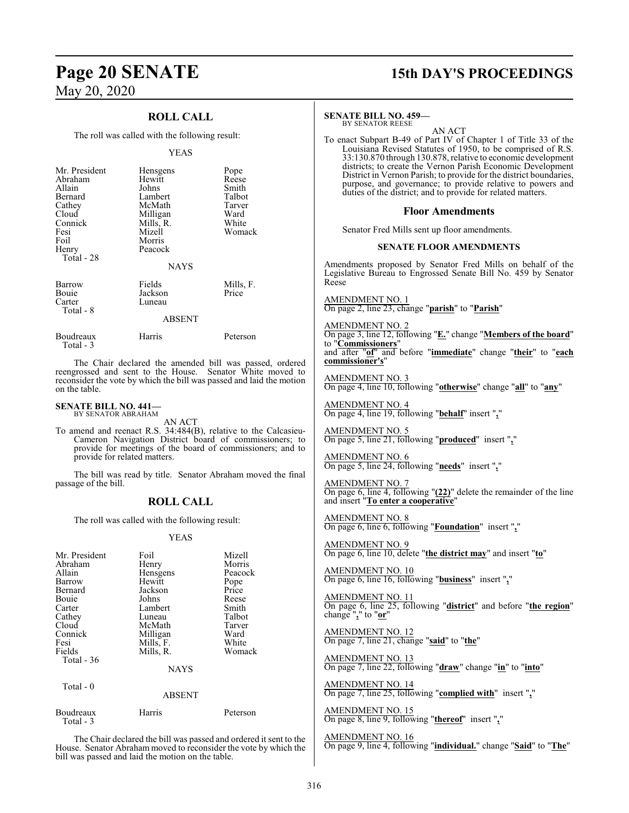### **ROLL CALL**

The roll was called with the following result:

#### YEAS

| Mr. President          | Hensgens      | Pope      |
|------------------------|---------------|-----------|
| Abraham                | Hewitt        | Reese     |
| Allain                 | Johns         | Smith     |
| Bernard                | Lambert       | Talbot    |
| Cathey                 | McMath        | Tarver    |
| Cloud                  | Milligan      | Ward      |
| Connick                | Mills, R.     | White     |
| Fesi                   | Mizell        | Womack    |
| Foil                   | Morris        |           |
| Henry                  | Peacock       |           |
| Total - 28             |               |           |
|                        | <b>NAYS</b>   |           |
| Barrow                 | Fields        | Mills, F. |
| Bouie                  | Jackson       | Price     |
| Carter                 | Luneau        |           |
| Total - 8              |               |           |
|                        | <b>ABSENT</b> |           |
|                        |               |           |
| Boudreaux<br>Total - 3 | Harris        | Peterson  |

The Chair declared the amended bill was passed, ordered reengrossed and sent to the House. Senator White moved to reconsider the vote by which the bill was passed and laid the motion on the table.

#### **SENATE BILL NO. 441—** BY SENATOR ABRAHAM

AN ACT

To amend and reenact R.S. 34:484(B), relative to the Calcasieu-Cameron Navigation District board of commissioners; to provide for meetings of the board of commissioners; and to provide for related matters.

The bill was read by title. Senator Abraham moved the final passage of the bill.

### **ROLL CALL**

The roll was called with the following result:

#### YEAS

| Mr. President<br>Abraham<br>Allain<br>Barrow<br>Bernard<br>Bouie<br>Carter<br>Cathey<br>Cloud<br>Connick<br>Fesi<br>Fields<br>Total $-36$<br>Total $-0$ | Foil<br>Henry<br>Hensgens<br>Hewitt<br>Jackson<br>Johns<br>Lambert<br>Luneau<br>McMath<br>Milligan<br>Mills, F.<br>Mills, R.<br><b>NAYS</b><br><b>ABSENT</b> | Mizell<br>Morris<br>Peacock<br>Pope<br>Price<br>Reese<br>Smith<br>Talbot<br>Tarver<br>Ward<br>White<br>Womack |
|---------------------------------------------------------------------------------------------------------------------------------------------------------|--------------------------------------------------------------------------------------------------------------------------------------------------------------|---------------------------------------------------------------------------------------------------------------|
|                                                                                                                                                         |                                                                                                                                                              |                                                                                                               |
| Boudreaux<br>Total - 3                                                                                                                                  | Harris                                                                                                                                                       | Peterson                                                                                                      |

The Chair declared the bill was passed and ordered it sent to the House. Senator Abraham moved to reconsider the vote by which the bill was passed and laid the motion on the table.

## **Page 20 SENATE 15th DAY'S PROCEEDINGS**

#### **SENATE BILL NO. 459—**

BY SENATOR REESE AN ACT

To enact Subpart B-49 of Part IV of Chapter 1 of Title 33 of the Louisiana Revised Statutes of 1950, to be comprised of R.S. 33:130.870 through 130.878, relative to economic development districts; to create the Vernon Parish Economic Development District in Vernon Parish; to provide for the district boundaries, purpose, and governance; to provide relative to powers and duties of the district; and to provide for related matters.

#### **Floor Amendments**

Senator Fred Mills sent up floor amendments.

#### **SENATE FLOOR AMENDMENTS**

Amendments proposed by Senator Fred Mills on behalf of the Legislative Bureau to Engrossed Senate Bill No. 459 by Senator Reese

AMENDMENT NO. 1 On page 2, line 23, change "**parish**" to "**Parish**"

#### AMENDMENT NO. 2

On page 3, line 12, following "**E.**" change "**Members of the board**" to "**Commissioners**" and after "**of**" and before "**immediate**" change "**their**" to "**each commissioner's**"

AMENDMENT NO. 3 On page 4, line 10, following "**otherwise**" change "**all**" to "**any**"

AMENDMENT NO. 4 On page 4, line 19, following "**behalf**" insert "**,**"

AMENDMENT NO. 5 On page 5, line 21, following "**produced**" insert "**,**"

AMENDMENT NO. 6 On page 5, line 24, following "**needs**" insert "**,**"

AMENDMENT NO. 7 On page 6, line 4, following "**(22)**" delete the remainder of the line and insert "**To enter a cooperative**"

AMENDMENT NO. 8 On page 6, line 6, following "**Foundation**" insert "**,**"

AMENDMENT NO. 9 On page 6, line 10, delete "**the district may**" and insert "**to**"

AMENDMENT NO. 10 On page 6, line 16, following "**business**" insert "**,**"

AMENDMENT NO. 11 On page 6, line 25, following "**district**" and before "**the region**" change "**,**" to "**or**"

AMENDMENT NO. 12 On page 7, line 21, change "**said**" to "**the**"

AMENDMENT NO. 13 On page 7, line 22, following "**draw**" change "**in**" to "**into**"

AMENDMENT NO. 14 On page 7, line 25, following "**complied with**" insert "**,**"

AMENDMENT NO. 15 On page 8, line 9, following "**thereof**" insert "**,**"

AMENDMENT NO. 16 On page 9, line 4, following "**individual.**" change "**Said**" to "**The**"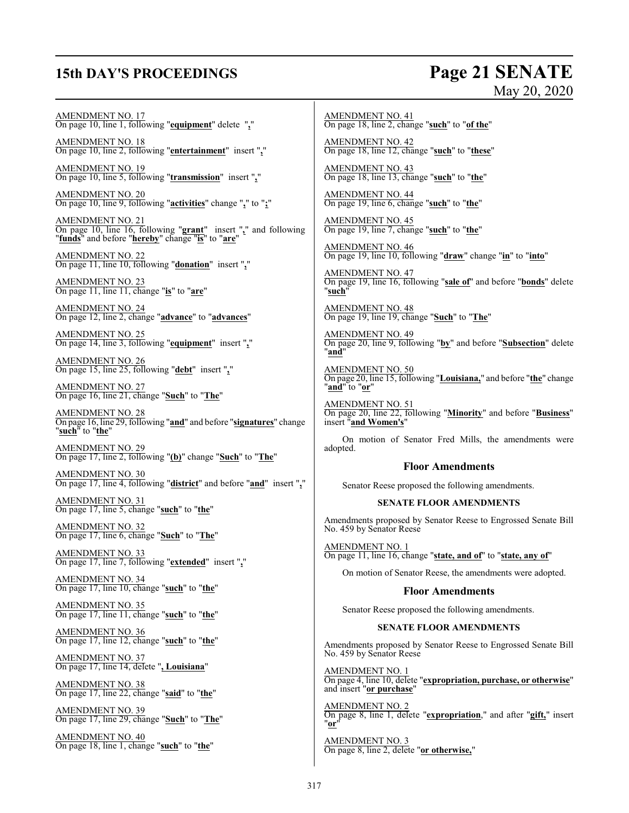## **15th DAY'S PROCEEDINGS Page 21 SENATE**

# May 20, 2020

AMENDMENT NO. 17 On page 10, line 1, following "**equipment**" delete "**,**"

AMENDMENT NO. 18 On page 10, line 2, following "**entertainment**" insert "**,**"

AMENDMENT NO. 19 On page 10, line 5, following "**transmission**" insert "**,**"

AMENDMENT NO. 20 On page 10, line 9, following "**activities**" change "**,**" to "**;**"

AMENDMENT NO. 21 On page 10, line 16, following "**grant**" insert "**,**" and following "**funds**" and before "**hereby**" change "**is**" to "**are**"

AMENDMENT NO. 22 On page 11, line 10, following "**donation**" insert "**,**"

AMENDMENT NO. 23 On page 11, line 11, change "**is**" to "**are**"

AMENDMENT NO. 24 On page 12, line 2, change "**advance**" to "**advances**"

AMENDMENT NO. 25 On page 14, line 3, following "**equipment**" insert "**,**"

AMENDMENT NO. 26 On page 15, line 25, following "**debt**" insert "**,**"

AMENDMENT NO. 27 On page 16, line 21, change "**Such**" to "**The**"

AMENDMENT NO. 28 On page 16, line 29, following "**and**" and before "**signatures**" change "**such**" to "**the**"

AMENDMENT NO. 29 On page 17, line 2, following "**(b)**" change "**Such**" to "**The**"

AMENDMENT NO. 30 On page 17, line 4, following "**district**" and before "**and**" insert "**,**"

AMENDMENT NO. 31 On page 17, line 5, change "**such**" to "**the**"

AMENDMENT NO. 32 On page 17, line 6, change "**Such**" to "**The**"

AMENDMENT NO. 33 On page 17, line 7, following "**extended**" insert "**,**"

AMENDMENT NO. 34 On page 17, line 10, change "**such**" to "**the**"

AMENDMENT NO. 35 On page 17, line 11, change "**such**" to "**the**"

AMENDMENT NO. 36 On page 17, line 12, change "**such**" to "**the**"

AMENDMENT NO. 37 On page 17, line 14, delete "**, Louisiana**"

AMENDMENT NO. 38 On page 17, line 22, change "**said**" to "**the**"

AMENDMENT NO. 39 On page 17, line 29, change "**Such**" to "**The**"

AMENDMENT NO. 40 On page 18, line 1, change "**such**" to "**the**"

AMENDMENT NO. 41 On page 18, line 2, change "**such**" to "**of the**"

AMENDMENT NO. 42 On page 18, line 12, change "**such**" to "**these**"

AMENDMENT NO. 43 On page 18, line 13, change "**such**" to "**the**"

AMENDMENT NO. 44 On page 19, line 6, change "**such**" to "**the**"

AMENDMENT NO. 45 On page 19, line 7, change "**such**" to "**the**"

AMENDMENT NO. 46 On page 19, line 10, following "**draw**" change "**in**" to "**into**"

AMENDMENT NO. 47 On page 19, line 16, following "**sale of**" and before "**bonds**" delete "**such**"

AMENDMENT NO. 48 On page 19, line 19, change "**Such**" to "**The**"

AMENDMENT NO. 49 On page 20, line 9, following "**by**" and before "**Subsection**" delete "**and**"

AMENDMENT NO. 50 On page 20, line 15, following "**Louisiana,**" and before "**the**" change "**and**" to "**or**"

AMENDMENT NO. 51 On page 20, line 22, following "**Minority**" and before "**Business**" insert "**and Women's**"

On motion of Senator Fred Mills, the amendments were adopted.

#### **Floor Amendments**

Senator Reese proposed the following amendments.

#### **SENATE FLOOR AMENDMENTS**

Amendments proposed by Senator Reese to Engrossed Senate Bill No. 459 by Senator Reese

AMENDMENT NO. 1 On page 11, line 16, change "**state, and of**" to "**state, any of**"

On motion of Senator Reese, the amendments were adopted.

#### **Floor Amendments**

Senator Reese proposed the following amendments.

#### **SENATE FLOOR AMENDMENTS**

Amendments proposed by Senator Reese to Engrossed Senate Bill No. 459 by Senator Reese

AMENDMENT NO. 1 On page 4, line 10, delete "**expropriation, purchase, or otherwise**" and insert "**or purchase**"

AMENDMENT NO. 2 On page 8, line 1, delete "**expropriation**," and after "**gift,**" insert "**or**"

AMENDMENT NO. 3 On page 8, line 2, delete "**or otherwise,**"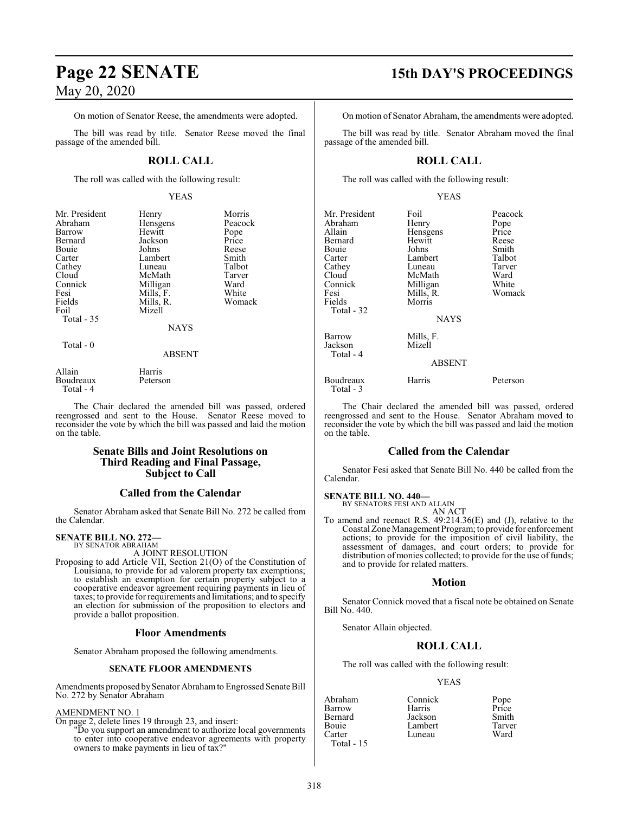On motion of Senator Reese, the amendments were adopted.

The bill was read by title. Senator Reese moved the final passage of the amended bill.

### **ROLL CALL**

The roll was called with the following result:

#### YEAS

| Mr. President       | Henry              | Morris  |
|---------------------|--------------------|---------|
| Abraham             | Hensgens           | Peacock |
| Barrow              | Hewitt             | Pope    |
| Bernard             | Jackson            | Price   |
| Bouie               | Johns              | Reese   |
| Carter              | Lambert            | Smith   |
| Cathey              | Luneau             | Talbot  |
| Cloud               | McMath             | Tarver  |
| Connick             | Milligan           | Ward    |
| Fesi                | Mills, F.          | White   |
| Fields              | Mills, R.          | Womack  |
| Foil                | Mizell             |         |
| Total - 35          |                    |         |
|                     | NAYS               |         |
| Total - 0           |                    |         |
|                     | <b>ABSENT</b>      |         |
| Allain<br>Boudreaux | Harris<br>Peterson |         |

Total - 4

The Chair declared the amended bill was passed, ordered reengrossed and sent to the House. Senator Reese moved to reconsider the vote by which the bill was passed and laid the motion on the table.

#### **Senate Bills and Joint Resolutions on Third Reading and Final Passage, Subject to Call**

### **Called from the Calendar**

Senator Abraham asked that Senate Bill No. 272 be called from the Calendar.

#### **SENATE BILL NO. 272—**

BY SENATOR ABRAHAM A JOINT RESOLUTION

Proposing to add Article VII, Section 21(O) of the Constitution of Louisiana, to provide for ad valorem property tax exemptions; to establish an exemption for certain property subject to a cooperative endeavor agreement requiring payments in lieu of taxes; to provide for requirements and limitations; and to specify an election for submission of the proposition to electors and provide a ballot proposition.

### **Floor Amendments**

Senator Abraham proposed the following amendments.

#### **SENATE FLOOR AMENDMENTS**

Amendments proposed bySenator Abrahamto Engrossed Senate Bill No. 272 by Senator Abraham

#### AMENDMENT NO. 1

On page 2, delete lines 19 through 23, and insert:

"Do you support an amendment to authorize local governments to enter into cooperative endeavor agreements with property owners to make payments in lieu of tax?"

# **Page 22 SENATE 15th DAY'S PROCEEDINGS**

On motion of Senator Abraham, the amendments were adopted.

The bill was read by title. Senator Abraham moved the final passage of the amended bill.

### **ROLL CALL**

The roll was called with the following result:

#### YEAS

| Mr. President | Foil          | Peacock  |
|---------------|---------------|----------|
| Abraham       | Henry         | Pope     |
| Allain        | Hensgens      | Price    |
| Bernard       | Hewitt        | Reese    |
| Bouie         | Johns         | Smith    |
| Carter        | Lambert       | Talbot   |
| Cathey        | Luneau        | Tarver   |
| Cloud         | McMath        | Ward     |
| Connick       | Milligan      | White    |
| Fesi          | Mills, R.     | Womack   |
| Fields        | Morris        |          |
| Total - 32    |               |          |
|               | <b>NAYS</b>   |          |
| Barrow        | Mills, F.     |          |
| Jackson       | Mizell        |          |
| Total - 4     |               |          |
|               | <b>ABSENT</b> |          |
| Boudreaux     | Harris        | Peterson |
| Total - 3     |               |          |

The Chair declared the amended bill was passed, ordered reengrossed and sent to the House. Senator Abraham moved to reconsider the vote by which the bill was passed and laid the motion on the table.

### **Called from the Calendar**

Senator Fesi asked that Senate Bill No. 440 be called from the Calendar.

#### **SENATE BILL NO. 440—**

BY SENATORS FESI AND ALLAIN

#### AN ACT

To amend and reenact R.S. 49:214.36(E) and (J), relative to the Coastal Zone Management Program; to provide for enforcement actions; to provide for the imposition of civil liability, the assessment of damages, and court orders; to provide for distribution of monies collected; to provide for the use of funds; and to provide for related matters.

#### **Motion**

Senator Connick moved that a fiscal note be obtained on Senate Bill No. 440.

Senator Allain objected.

### **ROLL CALL**

The roll was called with the following result:

#### YEAS

| Abraham      | Connick | Pope   |
|--------------|---------|--------|
| Barrow       | Harris  | Price  |
| Bernard      | Jackson | Smith  |
| Bouie        | Lambert | Tarver |
| Carter       | Luneau  | Ward   |
| $Total - 15$ |         |        |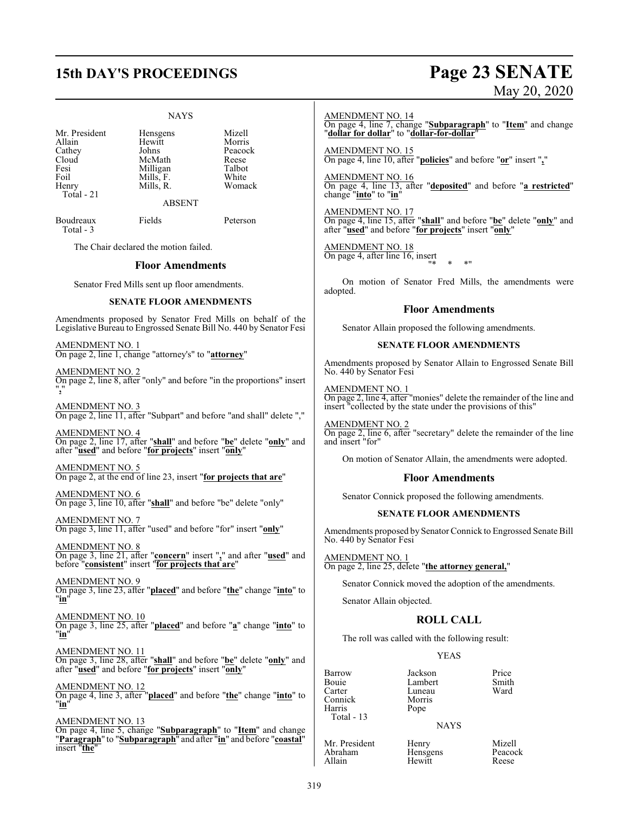# **15th DAY'S PROCEEDINGS Page 23 SENATE**

#### NAYS

Mr. President Hensgens Mizell<br>Allain Hewitt Morris Mr. President Hensgens<br>
Allain Hewitt<br>
Cathey Johns Cathey Johns Peacock<br>Cloud McMath Reese Cloud McMath Reese<br>
Resi Milligan Talbot Foil Mills, F. White<br>Henry Mills, R. Womack Total - 21

Milligan Talbot<br>
Mills F. White Mills, R.

ABSENT

Boudreaux Fields Peterson Total - 3

The Chair declared the motion failed.

#### **Floor Amendments**

Senator Fred Mills sent up floor amendments.

#### **SENATE FLOOR AMENDMENTS**

Amendments proposed by Senator Fred Mills on behalf of the Legislative Bureau to Engrossed Senate Bill No. 440 by Senator Fesi

AMENDMENT NO. 1 On page 2, line 1, change "attorney's" to "**attorney**"

AMENDMENT NO. 2 On page 2, line 8, after "only" and before "in the proportions" insert "**,**"

AMENDMENT NO. 3 On page 2, line 11, after "Subpart" and before "and shall" delete ","

AMENDMENT NO. 4 On page 2, line 17, after "**shall**" and before "**be**" delete "**only**" and after "**used**" and before "**for projects**" insert "**only**"

AMENDMENT NO. 5 On page 2, at the end of line 23, insert "**for projects that are**"

AMENDMENT NO. 6 On page 3, line 10, after "**shall**" and before "be" delete "only"

AMENDMENT NO. 7 On page 3, line 11, after "used" and before "for" insert "**only**"

AMENDMENT NO. 8 On page 3, line 21, after "**concern**" insert "**,**" and after "**used**" and before "**consistent**" insert "**for projects that are**"

AMENDMENT NO. 9 On page 3, line 23, after "**placed**" and before "**the**" change "**into**" to "**in**"

AMENDMENT NO. 10 On page 3, line 25, after "**placed**" and before "**a**" change "**into**" to "**in**"

AMENDMENT NO. 11 On page 3, line 28, after "**shall**" and before "**be**" delete "**only**" and after "**used**" and before "**for projects**" insert "**only**"

AMENDMENT NO. 12 On page 4, line 3, after "**placed**" and before "**the**" change "**into**" to "**in**"

AMENDMENT NO. 13 On page 4, line 5, change "**Subparagraph**" to "**Item**" and change "**Paragraph**" to "**Subparagraph**" and after "**in**" and before "**coastal**" insert "**the**"

# May 20, 2020

AMENDMENT NO. 14

On page 4, line 7, change "**Subparagraph**" to "**Item**" and change "**dollar for dollar**" to "**dollar-for-dollar**"

AMENDMENT NO. 15 On page 4, line 10, after "**policies**" and before "**or**" insert "**,**"

AMENDMENT NO. 16 On page 4, line 13, after "**deposited**" and before "**a restricted**" change "**into**" to "**in**"

AMENDMENT NO. 17 On page 4, line 15, after "**shall**" and before "**be**" delete "**only**" and after "**used**" and before "**for projects**" insert "**only**"

AMENDMENT NO. 18 On page 4, after line 16, insert "\* \* \*"

On motion of Senator Fred Mills, the amendments were adopted.

#### **Floor Amendments**

Senator Allain proposed the following amendments.

#### **SENATE FLOOR AMENDMENTS**

Amendments proposed by Senator Allain to Engrossed Senate Bill No. 440 by Senator Fesi

AMENDMENT NO. 1 On page 2, line 4, after "monies" delete the remainder of the line and insert "collected by the state under the provisions of this"

AMENDMENT NO. 2 On page 2, line 6, after "secretary" delete the remainder of the line and insert "for"

On motion of Senator Allain, the amendments were adopted.

#### **Floor Amendments**

Senator Connick proposed the following amendments.

#### **SENATE FLOOR AMENDMENTS**

Amendments proposed by Senator Connick to Engrossed Senate Bill No. 440 by Senator Fesi

AMENDMENT NO. 1 On page 2, line 25, delete "**the attorney general,**"

Senator Connick moved the adoption of the amendments.

Senator Allain objected.

#### **ROLL CALL**

The roll was called with the following result:

Luneau<br>Morris

Hewitt

#### YEAS

Barrow Jackson Price Bouie Lambert Smith Connick Morr<br>
Harris Pope Harris Total - 13

#### NAYS

Mr. President Henry Mizell<br>Abraham Hensgens Peacock Abraham Hensgens Peaco<br>Allain Hewitt Reese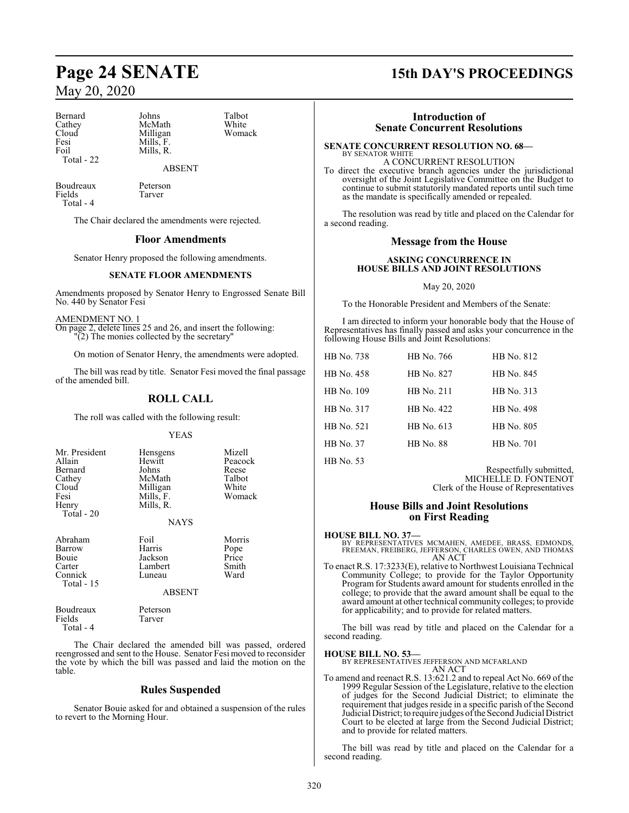Bernard Johns Talbot<br>Cathey McMath White Cathey McMath White<br>Cloud Milligan Womack Fesi Mills, F.<br>Foil Mills, R. Total - 22

Milligan Mills, R.

Boudreaux Peterson<br>Fields Tarver Fields Total - 4

The Chair declared the amendments were rejected.

#### **Floor Amendments**

ABSENT

Senator Henry proposed the following amendments.

#### **SENATE FLOOR AMENDMENTS**

Amendments proposed by Senator Henry to Engrossed Senate Bill No. 440 by Senator Fesi

AMENDMENT NO. 1

On page 2, delete lines 25 and 26, and insert the following: "(2) The monies collected by the secretary"

On motion of Senator Henry, the amendments were adopted.

The bill was read by title. Senator Fesi moved the final passage of the amended bill.

### **ROLL CALL**

The roll was called with the following result:

#### YEAS

| Mr. President | Hensgens       | Mizell  |
|---------------|----------------|---------|
| Allain        | Hewitt         | Peacock |
| Bernard       | Johns          | Reese   |
| Cathey        | McMath         | Talbot  |
| Cloud         | Milligan       | White   |
| Fesi          | Mills, F.      | Womack  |
| Henry         | Mills, R.      |         |
| Total - 20    |                |         |
|               | <b>British</b> |         |

NAYS

| Abraham     | Foil          | Morris        |
|-------------|---------------|---------------|
| Barrow      | Harris        |               |
| Bouie       | Jackson       | Pope<br>Price |
| Carter      | Lambert       | Smith         |
| Connick     | Luneau        | Ward          |
| Total $-15$ |               |               |
|             | <b>ABSENT</b> |               |

| Boudreaux | Peterson |
|-----------|----------|
| Fields    | Tarver   |
| Total - 4 |          |

The Chair declared the amended bill was passed, ordered reengrossed and sent to the House. Senator Fesi moved to reconsider the vote by which the bill was passed and laid the motion on the table.

#### **Rules Suspended**

Senator Bouie asked for and obtained a suspension of the rules to revert to the Morning Hour.

## **Page 24 SENATE 15th DAY'S PROCEEDINGS**

### **Introduction of Senate Concurrent Resolutions**

#### **SENATE CONCURRENT RESOLUTION NO. 68—** BY SENATOR WHITE

A CONCURRENT RESOLUTION To direct the executive branch agencies under the jurisdictional oversight of the Joint Legislative Committee on the Budget to continue to submit statutorily mandated reports until such time as the mandate is specifically amended or repealed.

The resolution was read by title and placed on the Calendar for a second reading.

#### **Message from the House**

#### **ASKING CONCURRENCE IN HOUSE BILLS AND JOINT RESOLUTIONS**

#### May 20, 2020

To the Honorable President and Members of the Senate:

I am directed to inform your honorable body that the House of Representatives has finally passed and asks your concurrence in the following House Bills and Joint Resolutions:

| HB No. 738 | HB No. 766       | HB No. 812 |
|------------|------------------|------------|
| HB No. 458 | HB No. 827       | HB No. 845 |
| HB No. 109 | HB No. 211       | HB No. 313 |
| HB No. 317 | HB No. 422       | HB No. 498 |
| HB No. 521 | HB No. 613       | HB No. 805 |
| HB No. 37  | <b>HB</b> No. 88 | HB No. 701 |
|            |                  |            |

HB No. 53

Respectfully submitted, MICHELLE D. FONTENOT Clerk of the House of Representatives

#### **House Bills and Joint Resolutions on First Reading**

**HOUSE BILL NO. 37—** BY REPRESENTATIVES MCMAHEN, AMEDEE, BRASS, EDMONDS, FREEMAN, FREIBERG, JEFFERSON, CHARLES OWEN, AND THOMAS AN ACT

To enact R.S. 17:3233(E), relative to Northwest Louisiana Technical Community College; to provide for the Taylor Opportunity Program for Students award amount for students enrolled in the college; to provide that the award amount shall be equal to the award amount at other technical community colleges; to provide for applicability; and to provide for related matters.

The bill was read by title and placed on the Calendar for a second reading.

**HOUSE BILL NO. 53—**

BY REPRESENTATIVES JEFFERSON AND MCFARLAND AN ACT

To amend and reenact R.S. 13:621.2 and to repeal Act No. 669 of the 1999 Regular Session of the Legislature, relative to the election of judges for the Second Judicial District; to eliminate the requirement that judges reside in a specific parish of the Second Judicial District; to require judges ofthe Second Judicial District Court to be elected at large from the Second Judicial District; and to provide for related matters.

The bill was read by title and placed on the Calendar for a second reading.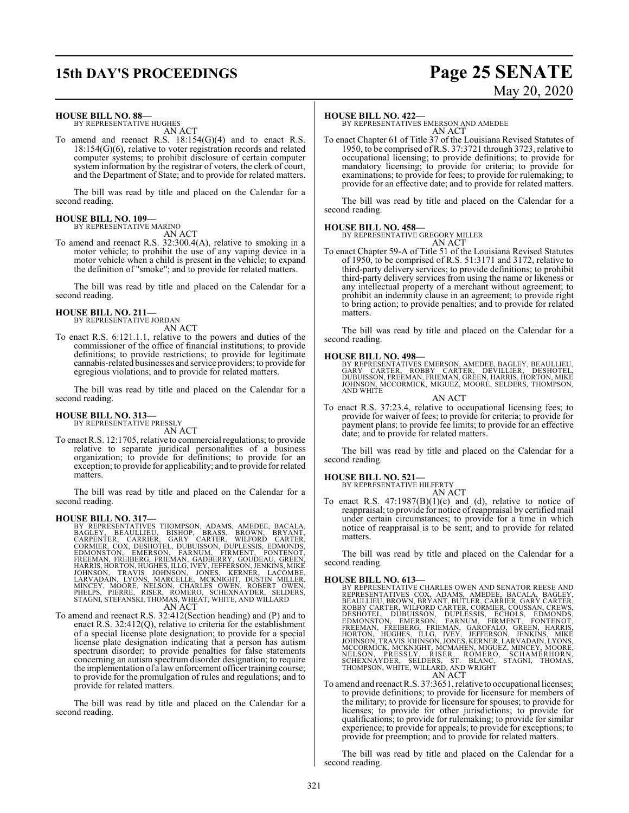## **15th DAY'S PROCEEDINGS Page 25 SENATE**

# May 20, 2020

#### **HOUSE BILL NO. 88—**

BY REPRESENTATIVE HUGHES AN ACT

To amend and reenact R.S. 18:154(G)(4) and to enact R.S. 18:154(G)(6), relative to voter registration records and related computer systems; to prohibit disclosure of certain computer system information by the registrar of voters, the clerk of court, and the Department of State; and to provide for related matters.

The bill was read by title and placed on the Calendar for a second reading.

#### **HOUSE BILL NO. 109—** BY REPRESENTATIVE MARINO

AN ACT

To amend and reenact R.S. 32:300.4(A), relative to smoking in a motor vehicle; to prohibit the use of any vaping device in a motor vehicle when a child is present in the vehicle; to expand the definition of "smoke"; and to provide for related matters.

The bill was read by title and placed on the Calendar for a second reading.

## **HOUSE BILL NO. 211—** BY REPRESENTATIVE JORDAN

AN ACT

To enact R.S. 6:121.1.1, relative to the powers and duties of the commissioner of the office of financial institutions; to provide definitions; to provide restrictions; to provide for legitimate cannabis-related businesses and service providers; to provide for egregious violations; and to provide for related matters.

The bill was read by title and placed on the Calendar for a second reading.

### **HOUSE BILL NO. 313—** BY REPRESENTATIVE PRESSLY

AN ACT

To enact R.S. 12:1705, relative to commercial regulations; to provide relative to separate juridical personalities of a business organization; to provide for definitions; to provide for an exception; to provide for applicability; and to provide for related matters.

The bill was read by title and placed on the Calendar for a second reading.

- HOUSE BILL NO. 317—<br>
BY REPRESENTATIVES THOMPSON, ADAMS, AMEDEE, BACALA,<br>
BAGLEY, BEAULLIEU, BISHOP, BRASS, BROWN, BRYANT,<br>
CARPENTER, CARRIER, GARY CARTER, WILFORD CARTER,<br>
CORMIER, COX, DESHOTEL, DUBUISSON, DUPLESSIS, ED
- To amend and reenact R.S. 32:412(Section heading) and (P) and to enact R.S. 32:412(Q), relative to criteria for the establishment of a special license plate designation; to provide for a special license plate designation indicating that a person has autism spectrum disorder; to provide penalties for false statements concerning an autism spectrum disorder designation; to require the implementation of a lawenforcement officer training course; to provide for the promulgation of rules and regulations; and to provide for related matters.

The bill was read by title and placed on the Calendar for a second reading.

#### **HOUSE BILL NO. 422—**

BY REPRESENTATIVES EMERSON AND AMEDEE AN ACT

To enact Chapter 61 of Title 37 of the Louisiana Revised Statutes of 1950, to be comprised of R.S. 37:3721 through 3723, relative to occupational licensing; to provide definitions; to provide for mandatory licensing; to provide for criteria; to provide for examinations; to provide for fees; to provide for rulemaking; to provide for an effective date; and to provide for related matters.

The bill was read by title and placed on the Calendar for a second reading.

#### **HOUSE BILL NO. 458—**

BY REPRESENTATIVE GREGORY MILLER

AN ACT

To enact Chapter 59-A of Title 51 of the Louisiana Revised Statutes of 1950, to be comprised of R.S. 51:3171 and 3172, relative to third-party delivery services; to provide definitions; to prohibit third-party delivery services from using the name or likeness or any intellectual property of a merchant without agreement; to prohibit an indemnity clause in an agreement; to provide right to bring action; to provide penalties; and to provide for related matters.

The bill was read by title and placed on the Calendar for a second reading.

#### **HOUSE BILL NO. 498—**

BY REPRESENTATIVES EMERSON, AMEDEE, BAGLEY, BEAULLIEU, GARY CARTER, ROBBY CARTER, DEVILLIER, DESHOTEL, DUBUISSON, FREEMAN, FRIEMAN, GREEN, HARRIS, HORTON, MIKE JOHNSON, MCCORMICK, MIGUEZ, MOORE, SELDERS, THOMPSON, AND WHITE

AN ACT

To enact R.S. 37:23.4, relative to occupational licensing fees; to provide for waiver of fees; to provide for criteria; to provide for payment plans; to provide fee limits; to provide for an effective date; and to provide for related matters.

The bill was read by title and placed on the Calendar for a second reading.

#### **HOUSE BILL NO. 521—**

BY REPRESENTATIVE HILFERTY AN ACT

To enact R.S.  $47:1987(B)(1)(c)$  and (d), relative to notice of reappraisal; to provide for notice of reappraisal by certified mail under certain circumstances; to provide for a time in which notice of reappraisal is to be sent; and to provide for related matters.

The bill was read by title and placed on the Calendar for a second reading.

HOUSE BILL NO. 613—<br>
BY REPRESENTATIVES CORRILES OWEN AND SENATOR REESE AND<br>
BEPRESENTATIVES COX, ADAMS, AMEDEE, BACALA, BAGLEY,<br>
BEAULLIEU, BROWN, BRYANT, BUTLER, CARRIER, GARY CARTER,<br>
ROBBY CARTER, WILFORD CARTER, CORMI AN ACT

To amend and reenact R.S. 37:3651, relative to occupational licenses; to provide definitions; to provide for licensure for members of the military; to provide for licensure for spouses; to provide for licenses; to provide for other jurisdictions; to provide for qualifications; to provide for rulemaking; to provide for similar experience; to provide for appeals; to provide for exceptions; to provide for preemption; and to provide for related matters.

The bill was read by title and placed on the Calendar for a second reading.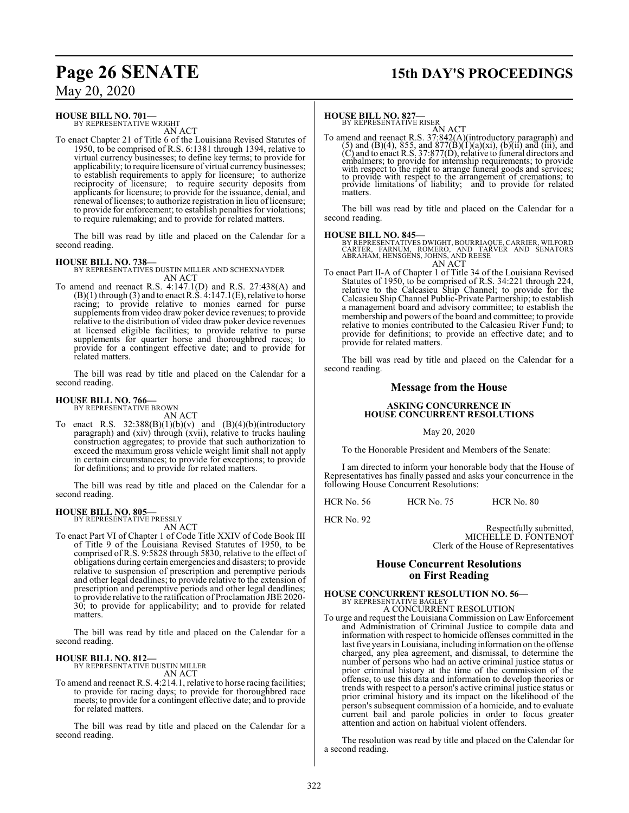## **Page 26 SENATE 15th DAY'S PROCEEDINGS**

May 20, 2020

#### **HOUSE BILL NO. 701—**

BY REPRESENTATIVE WRIGHT AN ACT

To enact Chapter 21 of Title 6 of the Louisiana Revised Statutes of 1950, to be comprised of R.S. 6:1381 through 1394, relative to virtual currency businesses; to define key terms; to provide for applicability; to require licensure of virtual currency businesses; to establish requirements to apply for licensure; to authorize reciprocity of licensure; to require security deposits from applicants for licensure; to provide for the issuance, denial, and renewal of licenses; to authorize registration in lieu of licensure; to provide for enforcement; to establish penalties for violations; to require rulemaking; and to provide for related matters.

The bill was read by title and placed on the Calendar for a second reading.

#### **HOUSE BILL NO. 738—**

BY REPRESENTATIVES DUSTIN MILLER AND SCHEXNAYDER AN ACT

To amend and reenact R.S. 4:147.1(D) and R.S. 27:438(A) and  $(B)(1)$  through (3) and to enact R.S.  $4:147.1(E)$ , relative to horse racing; to provide relative to monies earned for purse supplements from video draw poker device revenues; to provide relative to the distribution of video draw poker device revenues at licensed eligible facilities; to provide relative to purse supplements for quarter horse and thoroughbred races; to provide for a contingent effective date; and to provide for related matters.

The bill was read by title and placed on the Calendar for a second reading.

## **HOUSE BILL NO. 766—** BY REPRESENTATIVE BROWN

AN ACT

To enact R.S.  $32:388(B)(1)(b)(v)$  and  $(B)(4)(b)(introducing$ paragraph) and (xiv) through (xvii), relative to trucks hauling construction aggregates; to provide that such authorization to exceed the maximum gross vehicle weight limit shall not apply in certain circumstances; to provide for exceptions; to provide for definitions; and to provide for related matters.

The bill was read by title and placed on the Calendar for a second reading.

#### **HOUSE BILL NO. 805—**

BY REPRESENTATIVE PRESSLY

AN ACT

To enact Part VI of Chapter 1 of Code Title XXIV of Code Book III of Title 9 of the Louisiana Revised Statutes of 1950, to be comprised of R.S. 9:5828 through 5830, relative to the effect of obligations during certain emergencies and disasters; to provide relative to suspension of prescription and peremptive periods and other legal deadlines; to provide relative to the extension of prescription and peremptive periods and other legal deadlines; to provide relative to the ratification of Proclamation JBE 2020- 30; to provide for applicability; and to provide for related matters.

The bill was read by title and placed on the Calendar for a second reading.

#### **HOUSE BILL NO. 812—** BY REPRESENTATIVE DUSTIN MILLER

AN ACT

To amend and reenact R.S. 4:214.1, relative to horse racing facilities; to provide for racing days; to provide for thoroughbred race meets; to provide for a contingent effective date; and to provide for related matters.

The bill was read by title and placed on the Calendar for a second reading.

### **HOUSE BILL NO. 827-**<br>BY REPRESENTATIVE RISER

AN ACT<br>To amend and reenact R.S. 37:842(A)(introductory paragraph) and<br>(5) and (B)(4), 855, and 877(B)(1)(a)(xi), (b)(ii) and (iii), and<br>(C) and to enact R.S. 37:877(D), relative to funeral directors and embalmers; to provide for internship requirements; to provide with respect to the right to arrange funeral goods and services; to provide with respect to the arrangement of cremations; to provide limitations of liability; and to provide for related matters.

The bill was read by title and placed on the Calendar for a second reading.

### **HOUSE BILL NO. 845—**

BY REPRESENTATIVES DWIGHT, BOURRIAQUE, CARRIER, WILFORD<br>CARTER, FARNUM, ROMERO, AND TARVER AND SENATORS<br>ABRAHAM, HENSGENS, JOHNS, AND REESE AN ACT

To enact Part II-A of Chapter 1 of Title 34 of the Louisiana Revised Statutes of 1950, to be comprised of R.S. 34:221 through 224, relative to the Calcasieu Ship Channel; to provide for the Calcasieu Ship Channel Public-Private Partnership; to establish a management board and advisory committee; to establish the membership and powers of the board and committee; to provide relative to monies contributed to the Calcasieu River Fund; to provide for definitions; to provide an effective date; and to provide for related matters.

The bill was read by title and placed on the Calendar for a second reading.

#### **Message from the House**

#### **ASKING CONCURRENCE IN HOUSE CONCURRENT RESOLUTIONS**

#### May 20, 2020

To the Honorable President and Members of the Senate:

I am directed to inform your honorable body that the House of Representatives has finally passed and asks your concurrence in the following House Concurrent Resolutions:

HCR No. 56 HCR No. 75 HCR No. 80

HCR No. 92

Respectfully submitted, MICHELLE D. FONTENOT Clerk of the House of Representatives

### **House Concurrent Resolutions on First Reading**

#### **HOUSE CONCURRENT RESOLUTION NO. 56—** BY REPRESENTATIVE BAGLEY

A CONCURRENT RESOLUTION

To urge and request the Louisiana Commission on Law Enforcement and Administration of Criminal Justice to compile data and information with respect to homicide offenses committed in the last five years in Louisiana, including information on the offense charged, any plea agreement, and dismissal, to determine the number of persons who had an active criminal justice status or prior criminal history at the time of the commission of the offense, to use this data and information to develop theories or trends with respect to a person's active criminal justice status or prior criminal history and its impact on the likelihood of the person's subsequent commission of a homicide, and to evaluate current bail and parole policies in order to focus greater attention and action on habitual violent offenders.

The resolution was read by title and placed on the Calendar for a second reading.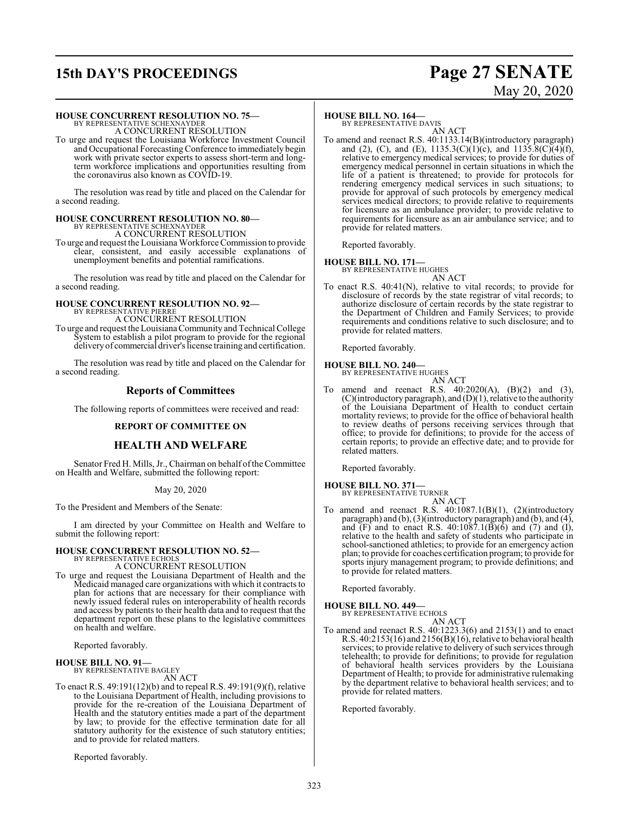# **15th DAY'S PROCEEDINGS Page 27 SENATE**

# May 20, 2020

#### **HOUSE CONCURRENT RESOLUTION NO. 75—**

BY REPRESENTATIVE SCHEXNAYDER A CONCURRENT RESOLUTION

To urge and request the Louisiana Workforce Investment Council and Occupational Forecasting Conference to immediately begin work with private sector experts to assess short-term and longterm workforce implications and opportunities resulting from the coronavirus also known as COVID-19.

The resolution was read by title and placed on the Calendar for a second reading.

#### **HOUSE CONCURRENT RESOLUTION NO. 80—** BY REPRESENTATIVE SCHEXNAYDER

A CONCURRENT RESOLUTION

To urge and request the Louisiana Workforce Commission to provide clear, consistent, and easily accessible explanations of unemployment benefits and potential ramifications.

The resolution was read by title and placed on the Calendar for a second reading.

#### **HOUSE CONCURRENT RESOLUTION NO. 92—** BY REPRESENTATIVE PIERRE

A CONCURRENT RESOLUTION

To urge and request the LouisianaCommunity and Technical College System to establish a pilot program to provide for the regional deliveryof commercial driver's license training and certification.

The resolution was read by title and placed on the Calendar for a second reading.

#### **Reports of Committees**

The following reports of committees were received and read:

#### **REPORT OF COMMITTEE ON**

#### **HEALTH AND WELFARE**

Senator Fred H. Mills, Jr., Chairman on behalf ofthe Committee on Health and Welfare, submitted the following report:

May 20, 2020

To the President and Members of the Senate:

I am directed by your Committee on Health and Welfare to submit the following report:

# **HOUSE CONCURRENT RESOLUTION NO. 52—** BY REPRESENTATIVE ECHOLS

A CONCURRENT RESOLUTION

To urge and request the Louisiana Department of Health and the Medicaid managed care organizations with which it contracts to plan for actions that are necessary for their compliance with newly issued federal rules on interoperability of health records and access by patients to their health data and to request that the department report on these plans to the legislative committees on health and welfare.

Reported favorably.

#### **HOUSE BILL NO. 91—**

BY REPRESENTATIVE BAGLEY

AN ACT

To enact R.S. 49:191(12)(b) and to repeal R.S. 49:191(9)(f), relative to the Louisiana Department of Health, including provisions to provide for the re-creation of the Louisiana Department of Health and the statutory entities made a part of the department by law; to provide for the effective termination date for all statutory authority for the existence of such statutory entities; and to provide for related matters.

Reported favorably.

#### **HOUSE BILL NO. 164—**

BY REPRESENTATIVE DAVIS AN ACT

To amend and reenact R.S. 40:1133.14(B)(introductory paragraph) and (2), (C), and (E),  $1135.3(C)(1)(c)$ , and  $1135.8(C)(4)(f)$ , relative to emergency medical services; to provide for duties of emergency medical personnel in certain situations in which the life of a patient is threatened; to provide for protocols for rendering emergency medical services in such situations; to provide for approval of such protocols by emergency medical services medical directors; to provide relative to requirements for licensure as an ambulance provider; to provide relative to requirements for licensure as an air ambulance service; and to provide for related matters.

Reported favorably.

#### **HOUSE BILL NO. 171—**

BY REPRESENTATIVE HUGHES

AN ACT To enact R.S. 40:41(N), relative to vital records; to provide for disclosure of records by the state registrar of vital records; to authorize disclosure of certain records by the state registrar to the Department of Children and Family Services; to provide requirements and conditions relative to such disclosure; and to provide for related matters.

Reported favorably.

#### **HOUSE BILL NO. 240—**

BY REPRESENTATIVE HUGHES AN ACT

To amend and reenact R.S. 40:2020(A), (B)(2) and (3),  $(C)($ introductory paragraph), and  $(D)(1)$ , relative to the authority of the Louisiana Department of Health to conduct certain mortality reviews; to provide for the office of behavioral health to review deaths of persons receiving services through that office; to provide for definitions; to provide for the access of certain reports; to provide an effective date; and to provide for related matters.

Reported favorably.

### **HOUSE BILL NO. 371—** BY REPRESENTATIVE TURNER

AN ACT

To amend and reenact R.S. 40:1087.1(B)(1), (2)(introductory paragraph) and (b), (3)(introductory paragraph) and (b), and (4), and  $(F)$  and to enact R.S. 40:1087.1 $(\overline{B})(\overline{6})$  and  $(\overline{7})$  and  $(\overline{1})$ , relative to the health and safety of students who participate in school-sanctioned athletics; to provide for an emergency action plan; to provide for coaches certification program; to provide for sports injury management program; to provide definitions; and to provide for related matters.

Reported favorably.

#### **HOUSE BILL NO. 449—** BY REPRESENTATIVE ECHOLS

AN ACT

To amend and reenact R.S. 40:1223.3(6) and 2153(1) and to enact R.S. 40:2153(16) and 2156(B)(16), relative to behavioral health services; to provide relative to delivery of such services through telehealth; to provide for definitions; to provide for regulation of behavioral health services providers by the Louisiana Department of Health; to provide for administrative rulemaking by the department relative to behavioral health services; and to provide for related matters.

Reported favorably.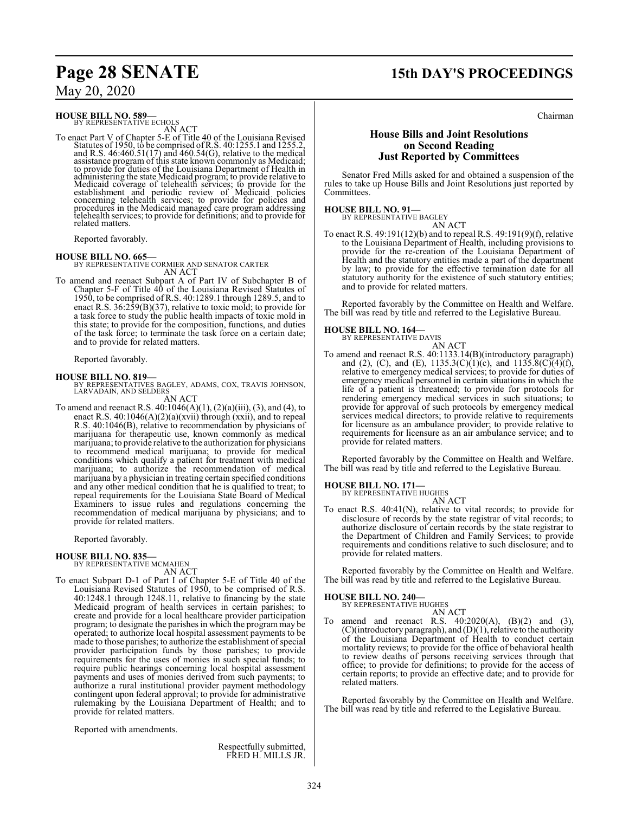## **Page 28 SENATE 15th DAY'S PROCEEDINGS**

### May 20, 2020

**HOUSE BILL NO. 589—**<br>BY REPRESENTATIVE ECHOLS<br>AN ACT

To enact Part V of Chapter 5-E of Title 40 of the Louisiana Revised<br>Statutes of 1950, to be comprised of R.S. 40:1255.1 and 1255.2,<br>and R.S. 46:460.51(17) and 460.54(G), relative to the medical<br>assistance program of this s

Reported favorably.

**HOUSE BILL NO. 665—** BY REPRESENTATIVE CORMIER AND SENATOR CARTER AN ACT

To amend and reenact Subpart A of Part IV of Subchapter B of Chapter 5-F of Title 40 of the Louisiana Revised Statutes of 1950, to be comprised of R.S. 40:1289.1 through 1289.5, and to enact R.S. 36:259(B)(37), relative to toxic mold; to provide for a task force to study the public health impacts of toxic mold in this state; to provide for the composition, functions, and duties of the task force; to terminate the task force on a certain date; and to provide for related matters.

Reported favorably.

**HOUSE BILL NO. 819—** BY REPRESENTATIVES BAGLEY, ADAMS, COX, TRAVIS JOHNSON, LARVADAIN, AND SELDERS AN ACT

To amend and reenact R.S. 40:1046(A)(1), (2)(a)(iii), (3), and (4), to enact R.S.  $40:1046(A)(2)(a)(xvii)$  through  $(xxii)$ , and to repeal R.S. 40:1046(B), relative to recommendation by physicians of marijuana for therapeutic use, known commonly as medical marijuana; to provide relative to the authorization for physicians to recommend medical marijuana; to provide for medical conditions which qualify a patient for treatment with medical marijuana; to authorize the recommendation of medical marijuana by a physician in treating certain specified conditions and any other medical condition that he is qualified to treat; to repeal requirements for the Louisiana State Board of Medical Examiners to issue rules and regulations concerning the recommendation of medical marijuana by physicians; and to provide for related matters.

Reported favorably.

## **HOUSE BILL NO. 835—** BY REPRESENTATIVE MCMAHEN

AN ACT

To enact Subpart D-1 of Part I of Chapter 5-E of Title 40 of the Louisiana Revised Statutes of 1950, to be comprised of R.S. 40:1248.1 through 1248.11, relative to financing by the state Medicaid program of health services in certain parishes; to create and provide for a local healthcare provider participation program; to designate the parishes in which the program may be operated; to authorize local hospital assessment payments to be made to those parishes; to authorize the establishment of special provider participation funds by those parishes; to provide requirements for the uses of monies in such special funds; to require public hearings concerning local hospital assessment payments and uses of monies derived from such payments; to authorize a rural institutional provider payment methodology contingent upon federal approval; to provide for administrative rulemaking by the Louisiana Department of Health; and to provide for related matters.

Reported with amendments.

Respectfully submitted, FRED H. MILLS JR.

#### **House Bills and Joint Resolutions on Second Reading Just Reported by Committees**

Senator Fred Mills asked for and obtained a suspension of the rules to take up House Bills and Joint Resolutions just reported by Committees.

### **HOUSE BILL NO. 91—**

BY REPRESENTATIVE BAGLEY AN ACT

To enact R.S. 49:191(12)(b) and to repeal R.S. 49:191(9)(f), relative to the Louisiana Department of Health, including provisions to provide for the re-creation of the Louisiana Department of Health and the statutory entities made a part of the department by law; to provide for the effective termination date for all statutory authority for the existence of such statutory entities; and to provide for related matters.

Reported favorably by the Committee on Health and Welfare. The bill was read by title and referred to the Legislative Bureau.

#### **HOUSE BILL NO. 164—**

BY REPRESENTATIVE DAVIS AN ACT

To amend and reenact R.S. 40:1133.14(B)(introductory paragraph) and (2), (C), and (E),  $1135.3(C)(1)(c)$ , and  $1135.8(C)(4)(f)$ , relative to emergency medical services; to provide for duties of emergency medical personnel in certain situations in which the life of a patient is threatened; to provide for protocols for rendering emergency medical services in such situations; to provide for approval of such protocols by emergency medical services medical directors; to provide relative to requirements for licensure as an ambulance provider; to provide relative to requirements for licensure as an air ambulance service; and to provide for related matters.

Reported favorably by the Committee on Health and Welfare. The bill was read by title and referred to the Legislative Bureau.

### **HOUSE BILL NO. 171—** BY REPRESENTATIVE HUGHES

AN ACT

To enact R.S. 40:41(N), relative to vital records; to provide for disclosure of records by the state registrar of vital records; to authorize disclosure of certain records by the state registrar to the Department of Children and Family Services; to provide requirements and conditions relative to such disclosure; and to provide for related matters.

Reported favorably by the Committee on Health and Welfare. The bill was read by title and referred to the Legislative Bureau.

# **HOUSE BILL NO. 240—** BY REPRESENTATIVE HUGHES

- AN ACT
- To amend and reenact R.S.  $40:2020(A)$ ,  $(B)(2)$  and  $(3)$ , (C)(introductory paragraph), and (D)(1), relative to the authority of the Louisiana Department of Health to conduct certain mortality reviews; to provide for the office of behavioral health to review deaths of persons receiving services through that office; to provide for definitions; to provide for the access of certain reports; to provide an effective date; and to provide for related matters.

Reported favorably by the Committee on Health and Welfare. The bill was read by title and referred to the Legislative Bureau.

Chairman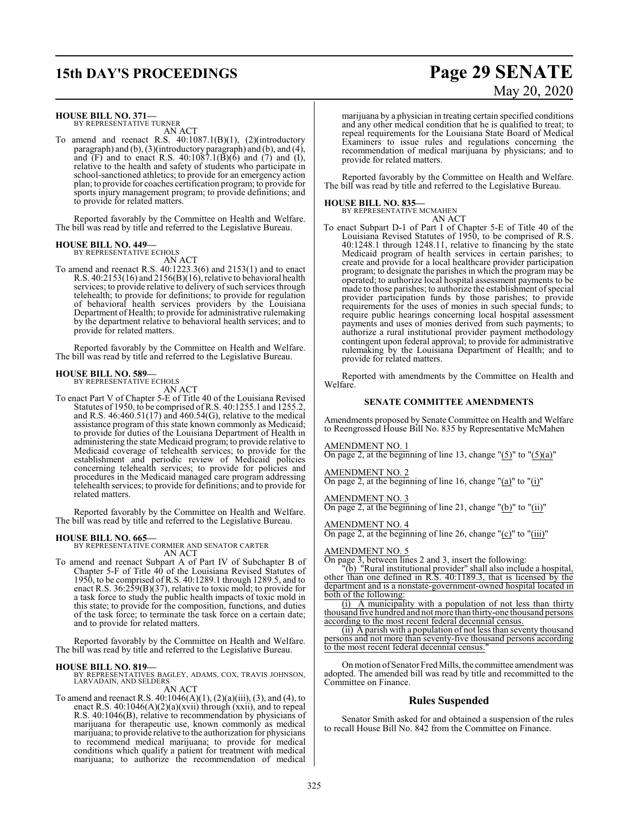#### **HOUSE BILL NO. 371—**

BY REPRESENTATIVE TURNER AN ACT

To amend and reenact R.S. 40:1087.1(B)(1), (2)(introductory paragraph) and (b), (3)(introductory paragraph) and (b), and (4), and (F) and to enact R.S.  $40:1087.1(B)(6)$  and (7) and (I), relative to the health and safety of students who participate in school-sanctioned athletics; to provide for an emergency action plan; to provide for coaches certification program; to provide for sports injury management program; to provide definitions; and to provide for related matters.

Reported favorably by the Committee on Health and Welfare. The bill was read by title and referred to the Legislative Bureau.

### **HOUSE BILL NO. 449—** BY REPRESENTATIVE ECHOLS

AN ACT

To amend and reenact R.S. 40:1223.3(6) and 2153(1) and to enact R.S. 40:2153(16) and 2156(B)(16), relative to behavioral health services; to provide relative to delivery of such services through telehealth; to provide for definitions; to provide for regulation of behavioral health services providers by the Louisiana Department of Health; to provide for administrative rulemaking by the department relative to behavioral health services; and to provide for related matters.

Reported favorably by the Committee on Health and Welfare. The bill was read by title and referred to the Legislative Bureau.

#### **HOUSE BILL NO. 589—**

BY REPRESENTATIVE ECHOLS AN ACT

To enact Part V of Chapter 5-E of Title 40 of the Louisiana Revised Statutes of 1950, to be comprised of R.S. 40:1255.1 and 1255.2, and R.S.  $46:460.51(17)$  and  $460.54(G)$ , relative to the medical assistance program of this state known commonly as Medicaid; to provide for duties of the Louisiana Department of Health in administering the state Medicaid program; to provide relative to Medicaid coverage of telehealth services; to provide for the establishment and periodic review of Medicaid policies concerning telehealth services; to provide for policies and procedures in the Medicaid managed care program addressing telehealth services; to provide for definitions; and to provide for related matters.

Reported favorably by the Committee on Health and Welfare. The bill was read by title and referred to the Legislative Bureau.

**HOUSE BILL NO. 665—** BY REPRESENTATIVE CORMIER AND SENATOR CARTER AN ACT

To amend and reenact Subpart A of Part IV of Subchapter B of Chapter 5-F of Title 40 of the Louisiana Revised Statutes of 1950, to be comprised of R.S. 40:1289.1 through 1289.5, and to enact R.S. 36:259(B)(37), relative to toxic mold; to provide for a task force to study the public health impacts of toxic mold in this state; to provide for the composition, functions, and duties of the task force; to terminate the task force on a certain date; and to provide for related matters.

Reported favorably by the Committee on Health and Welfare. The bill was read by title and referred to the Legislative Bureau.

**HOUSE BILL NO. 819—** BY REPRESENTATIVES BAGLEY, ADAMS, COX, TRAVIS JOHNSON, LARVADAIN, AND SELDERS

### AN ACT

To amend and reenact R.S.  $40:1046(A)(1), (2)(a)(iii), (3),$  and  $(4)$ , to enact R.S. 40:1046(A)(2)(a)(xvii) through (xxii), and to repeal R.S. 40:1046(B), relative to recommendation by physicians of marijuana for therapeutic use, known commonly as medical marijuana; to provide relative to the authorization for physicians to recommend medical marijuana; to provide for medical conditions which qualify a patient for treatment with medical marijuana; to authorize the recommendation of medical

# **15th DAY'S PROCEEDINGS Page 29 SENATE** May 20, 2020

marijuana by a physician in treating certain specified conditions and any other medical condition that he is qualified to treat; to repeal requirements for the Louisiana State Board of Medical Examiners to issue rules and regulations concerning the recommendation of medical marijuana by physicians; and to provide for related matters.

Reported favorably by the Committee on Health and Welfare. The bill was read by title and referred to the Legislative Bureau.

#### **HOUSE BILL NO. 835—**

BY REPRESENTATIVE MCMAHEN

- AN ACT
- To enact Subpart D-1 of Part I of Chapter 5-E of Title 40 of the Louisiana Revised Statutes of 1950, to be comprised of R.S. 40:1248.1 through 1248.11, relative to financing by the state Medicaid program of health services in certain parishes; to create and provide for a local healthcare provider participation program; to designate the parishes in which the program may be operated; to authorize local hospital assessment payments to be made to those parishes; to authorize the establishment of special provider participation funds by those parishes; to provide requirements for the uses of monies in such special funds; to require public hearings concerning local hospital assessment payments and uses of monies derived from such payments; to authorize a rural institutional provider payment methodology contingent upon federal approval; to provide for administrative rulemaking by the Louisiana Department of Health; and to provide for related matters.

Reported with amendments by the Committee on Health and Welfare.

#### **SENATE COMMITTEE AMENDMENTS**

Amendments proposed by Senate Committee on Health and Welfare to Reengrossed House Bill No. 835 by Representative McMahen

#### AMENDMENT NO. 1

On page 2, at the beginning of line 13, change " $(5)$ " to " $(5)(a)$ "

#### AMENDMENT NO. 2

On page 2, at the beginning of line 16, change "(a)" to "(i)"

AMENDMENT NO. 3

On page 2, at the beginning of line 21, change "(b)" to "(ii)"

#### AMENDMENT NO. 4

On page 2, at the beginning of line 26, change "(c)" to "(iii)"

#### AMENDMENT NO. 5

On page 3, between lines 2 and 3, insert the following:

"(b) "Rural institutional provider" shall also include a hospital, other than one defined in R.S. 40:1189.3, that is licensed by the department and is a nonstate-government-owned hospital located in both of the following:

(i) A municipality with a population of not less than thirty thousand five hundred and not more than thirty-one thousand persons according to the most recent federal decennial census.

(ii) A parish with a population of not less than seventy thousand persons and not more than seventy-five thousand persons according to the most recent federal decennial census."

On motion of Senator Fred Mills, the committee amendment was adopted. The amended bill was read by title and recommitted to the Committee on Finance.

### **Rules Suspended**

Senator Smith asked for and obtained a suspension of the rules to recall House Bill No. 842 from the Committee on Finance.